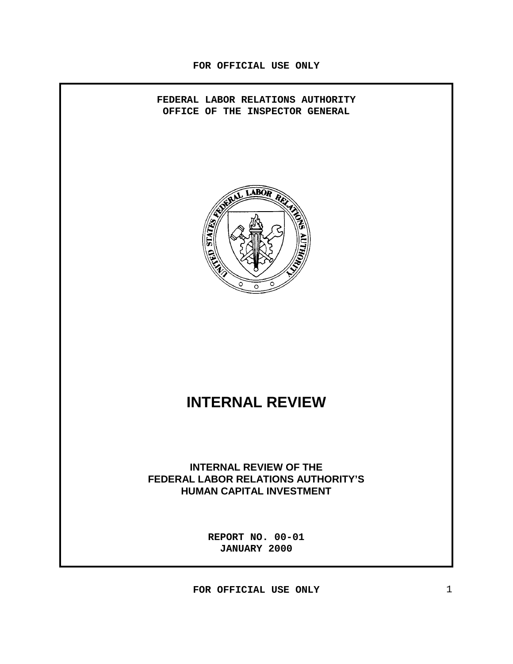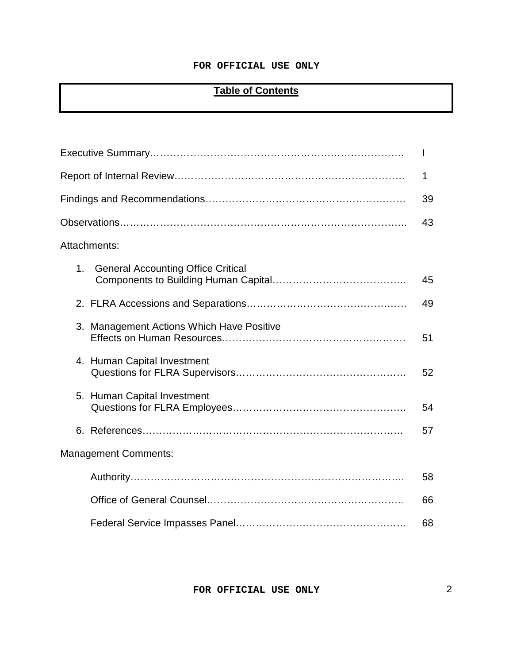# **Table of Contents**

|                                                 | I. |
|-------------------------------------------------|----|
|                                                 | 1  |
|                                                 | 39 |
|                                                 | 43 |
| Attachments:                                    |    |
| <b>General Accounting Office Critical</b><br>1. | 45 |
|                                                 | 49 |
| 3. Management Actions Which Have Positive       | 51 |
| 4. Human Capital Investment                     | 52 |
| 5. Human Capital Investment                     | 54 |
|                                                 | 57 |
| <b>Management Comments:</b>                     |    |
|                                                 | 58 |
|                                                 | 66 |
|                                                 | 68 |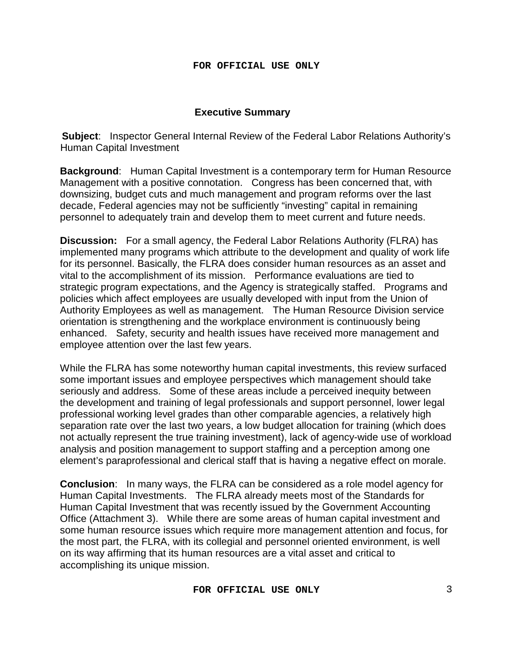# **Executive Summary**

**Subject**: Inspector General Internal Review of the Federal Labor Relations Authority's Human Capital Investment

**Background**: Human Capital Investment is a contemporary term for Human Resource Management with a positive connotation. Congress has been concerned that, with downsizing, budget cuts and much management and program reforms over the last decade, Federal agencies may not be sufficiently "investing" capital in remaining personnel to adequately train and develop them to meet current and future needs.

**Discussion:** For a small agency, the Federal Labor Relations Authority (FLRA) has implemented many programs which attribute to the development and quality of work life for its personnel. Basically, the FLRA does consider human resources as an asset and vital to the accomplishment of its mission. Performance evaluations are tied to strategic program expectations, and the Agency is strategically staffed. Programs and policies which affect employees are usually developed with input from the Union of Authority Employees as well as management. The Human Resource Division service orientation is strengthening and the workplace environment is continuously being enhanced. Safety, security and health issues have received more management and employee attention over the last few years.

While the FLRA has some noteworthy human capital investments, this review surfaced some important issues and employee perspectives which management should take seriously and address. Some of these areas include a perceived inequity between the development and training of legal professionals and support personnel, lower legal professional working level grades than other comparable agencies, a relatively high separation rate over the last two years, a low budget allocation for training (which does not actually represent the true training investment), lack of agency-wide use of workload analysis and position management to support staffing and a perception among one element's paraprofessional and clerical staff that is having a negative effect on morale.

**Conclusion**: In many ways, the FLRA can be considered as a role model agency for Human Capital Investments. The FLRA already meets most of the Standards for Human Capital Investment that was recently issued by the Government Accounting Office (Attachment 3). While there are some areas of human capital investment and some human resource issues which require more management attention and focus, for the most part, the FLRA, with its collegial and personnel oriented environment, is well on its way affirming that its human resources are a vital asset and critical to accomplishing its unique mission.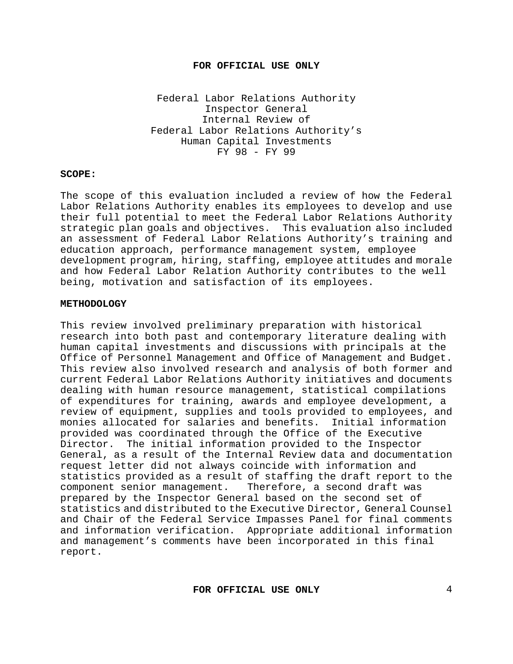Federal Labor Relations Authority Inspector General Internal Review of Federal Labor Relations Authority's Human Capital Investments FY 98 - FY 99

#### **SCOPE:**

The scope of this evaluation included a review of how the Federal Labor Relations Authority enables its employees to develop and use their full potential to meet the Federal Labor Relations Authority strategic plan goals and objectives. This evaluation also included an assessment of Federal Labor Relations Authority's training and education approach, performance management system, employee development program, hiring, staffing, employee attitudes and morale and how Federal Labor Relation Authority contributes to the well being, motivation and satisfaction of its employees.

#### **METHODOLOGY**

This review involved preliminary preparation with historical research into both past and contemporary literature dealing with human capital investments and discussions with principals at the Office of Personnel Management and Office of Management and Budget. This review also involved research and analysis of both former and current Federal Labor Relations Authority initiatives and documents dealing with human resource management, statistical compilations of expenditures for training, awards and employee development, a review of equipment, supplies and tools provided to employees, and monies allocated for salaries and benefits. Initial information provided was coordinated through the Office of the Executive Director. The initial information provided to the Inspector General, as a result of the Internal Review data and documentation request letter did not always coincide with information and statistics provided as a result of staffing the draft report to the component senior management. Therefore, a second draft was Therefore, a second draft was prepared by the Inspector General based on the second set of statistics and distributed to the Executive Director, General Counsel and Chair of the Federal Service Impasses Panel for final comments and information verification. Appropriate additional information and management's comments have been incorporated in this final report.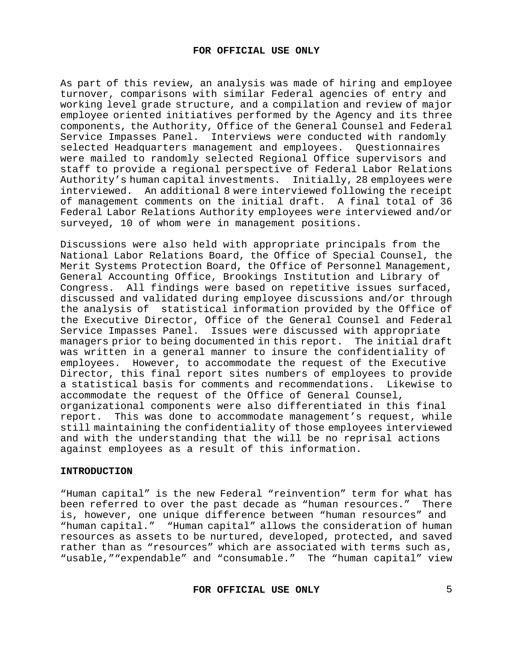As part of this review, an analysis was made of hiring and employee turnover, comparisons with similar Federal agencies of entry and working level grade structure, and a compilation and review of major employee oriented initiatives performed by the Agency and its three components, the Authority, Office of the General Counsel and Federal<br>Service Impasses Panel. Interviews were conducted with randomly Interviews were conducted with randomly selected Headquarters management and employees. Questionnaires were mailed to randomly selected Regional Office supervisors and staff to provide a regional perspective of Federal Labor Relations Authority's human capital investments. Initially, 28 employees were interviewed. An additional 8 were interviewed following the receipt of management comments on the initial draft. A final total of 36 Federal Labor Relations Authority employees were interviewed and/or surveyed, 10 of whom were in management positions.

Discussions were also held with appropriate principals from the National Labor Relations Board, the Office of Special Counsel, the Merit Systems Protection Board, the Office of Personnel Management, General Accounting Office, Brookings Institution and Library of Congress. All findings were based on repetitive issues surfaced, discussed and validated during employee discussions and/or through the analysis of statistical information provided by the Office of the Executive Director, Office of the General Counsel and Federal<br>Service Impasses Panel. Issues were discussed with appropriate Issues were discussed with appropriate managers prior to being documented in this report. The initial draft was written in a general manner to insure the confidentiality of employees. However, to accommodate the request of the Executive Director, this final report sites numbers of employees to provide a statistical basis for comments and recommendations. Likewise to accommodate the request of the Office of General Counsel, organizational components were also differentiated in this final report. This was done to accommodate management's request, while still maintaining the confidentiality of those employees interviewed and with the understanding that the will be no reprisal actions against employees as a result of this information.

## **INTRODUCTION**

"Human capital" is the new Federal "reinvention" term for what has been referred to over the past decade as "human resources." There is, however, one unique difference between "human resources" and "human capital." "Human capital" allows the consideration of human resources as assets to be nurtured, developed, protected, and saved rather than as "resources" which are associated with terms such as, "usable,""expendable" and "consumable." The "human capital" view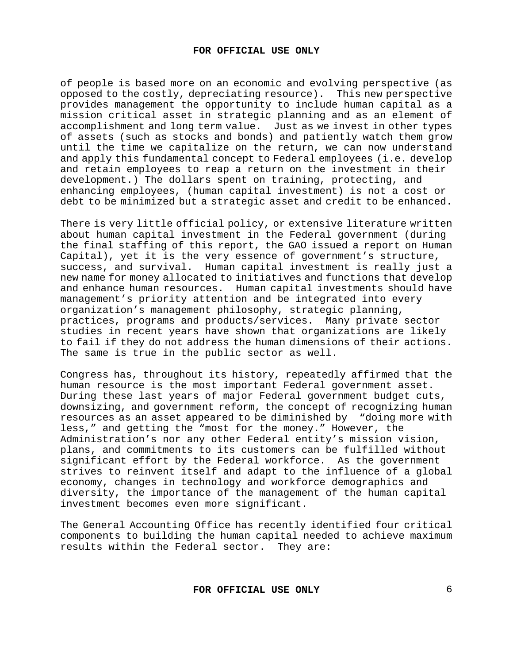of people is based more on an economic and evolving perspective (as opposed to the costly, depreciating resource). This new perspective provides management the opportunity to include human capital as a mission critical asset in strategic planning and as an element of accomplishment and long term value. Just as we invest in other types of assets (such as stocks and bonds) and patiently watch them grow until the time we capitalize on the return, we can now understand and apply this fundamental concept to Federal employees (i.e. develop and retain employees to reap a return on the investment in their development.) The dollars spent on training, protecting, and enhancing employees, (human capital investment) is not a cost or debt to be minimized but a strategic asset and credit to be enhanced.

There is very little official policy, or extensive literature written about human capital investment in the Federal government (during the final staffing of this report, the GAO issued a report on Human Capital), yet it is the very essence of government's structure, success, and survival. Human capital investment is really just a new name for money allocated to initiatives and functions that develop and enhance human resources. Human capital investments should have management's priority attention and be integrated into every organization's management philosophy, strategic planning, practices, programs and products/services. Many private sector studies in recent years have shown that organizations are likely to fail if they do not address the human dimensions of their actions. The same is true in the public sector as well.

Congress has, throughout its history, repeatedly affirmed that the human resource is the most important Federal government asset. During these last years of major Federal government budget cuts, downsizing, and government reform, the concept of recognizing human resources as an asset appeared to be diminished by "doing more with less," and getting the "most for the money." However, the Administration's nor any other Federal entity's mission vision, plans, and commitments to its customers can be fulfilled without significant effort by the Federal workforce. As the government strives to reinvent itself and adapt to the influence of a global economy, changes in technology and workforce demographics and diversity, the importance of the management of the human capital investment becomes even more significant.

The General Accounting Office has recently identified four critical components to building the human capital needed to achieve maximum results within the Federal sector. They are: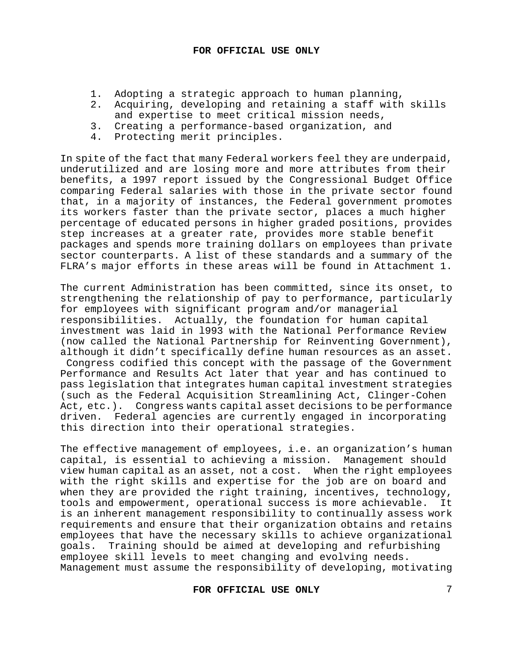- 1. Adopting a strategic approach to human planning,<br>2. Acquiring, developing and retaining a staff with
- 2. Acquiring, developing and retaining a staff with skills and expertise to meet critical mission needs,
- 3. Creating a performance-based organization, and<br>4. Protecting merit principles.
- Protecting merit principles.

In spite of the fact that many Federal workers feel they are underpaid, underutilized and are losing more and more attributes from their benefits, a 1997 report issued by the Congressional Budget Office comparing Federal salaries with those in the private sector found that, in a majority of instances, the Federal government promotes its workers faster than the private sector, places a much higher percentage of educated persons in higher graded positions, provides step increases at a greater rate, provides more stable benefit packages and spends more training dollars on employees than private sector counterparts. A list of these standards and a summary of the FLRA's major efforts in these areas will be found in Attachment 1.

The current Administration has been committed, since its onset, to strengthening the relationship of pay to performance, particularly for employees with significant program and/or managerial responsibilities. Actually, the foundation for human capital investment was laid in l993 with the National Performance Review (now called the National Partnership for Reinventing Government), although it didn't specifically define human resources as an asset. Congress codified this concept with the passage of the Government Performance and Results Act later that year and has continued to pass legislation that integrates human capital investment strategies (such as the Federal Acquisition Streamlining Act, Clinger-Cohen Act, etc.). Congress wants capital asset decisions to be performance driven. Federal agencies are currently engaged in incorporating this direction into their operational strategies.

The effective management of employees, i.e. an organization's human capital, is essential to achieving a mission. Management should view human capital as an asset, not a cost. When the right employees with the right skills and expertise for the job are on board and when they are provided the right training, incentives, technology,<br>tools and empowerment, operational success is more achievable. It tools and empowerment, operational success is more achievable. is an inherent management responsibility to continually assess work requirements and ensure that their organization obtains and retains employees that have the necessary skills to achieve organizational goals. Training should be aimed at developing and refurbishing employee skill levels to meet changing and evolving needs. Management must assume the responsibility of developing, motivating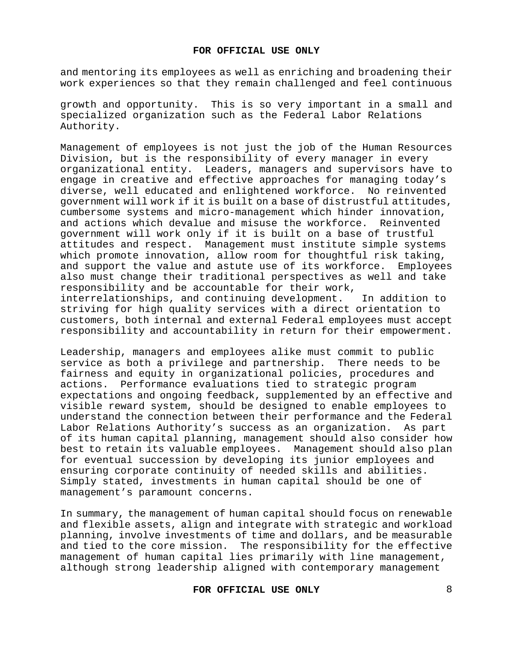and mentoring its employees as well as enriching and broadening their work experiences so that they remain challenged and feel continuous

growth and opportunity. This is so very important in a small and specialized organization such as the Federal Labor Relations Authority.

Management of employees is not just the job of the Human Resources Division, but is the responsibility of every manager in every organizational entity. Leaders, managers and supervisors have to engage in creative and effective approaches for managing today's diverse, well educated and enlightened workforce. No reinvented government will work if it is built on a base of distrustful attitudes, cumbersome systems and micro-management which hinder innovation, and actions which devalue and misuse the workforce.Reinvented government will work only if it is built on a base of trustful attitudes and respect. Management must institute simple systems which promote innovation, allow room for thoughtful risk taking, and support the value and astute use of its workforce. Employees also must change their traditional perspectives as well and take responsibility and be accountable for their work,<br>interrelationships, and continuing development. In addition to interrelationships, and continuing development. striving for high quality services with a direct orientation to customers, both internal and external Federal employees must accept responsibility and accountability in return for their empowerment.

Leadership, managers and employees alike must commit to public service as both a privilege and partnership. There needs to be fairness and equity in organizational policies, procedures and actions. Performance evaluations tied to strategic program expectations and ongoing feedback, supplemented by an effective and visible reward system, should be designed to enable employees to understand the connection between their performance and the Federal Labor Relations Authority's success as an organization. As part of its human capital planning, management should also consider how best to retain its valuable employees. Management should also plan for eventual succession by developing its junior employees and ensuring corporate continuity of needed skills and abilities. Simply stated, investments in human capital should be one of management's paramount concerns.

In summary, the management of human capital should focus on renewable and flexible assets, align and integrate with strategic and workload planning, involve investments of time and dollars, and be measurable and tied to the core mission. The responsibility for the effective management of human capital lies primarily with line management, although strong leadership aligned with contemporary management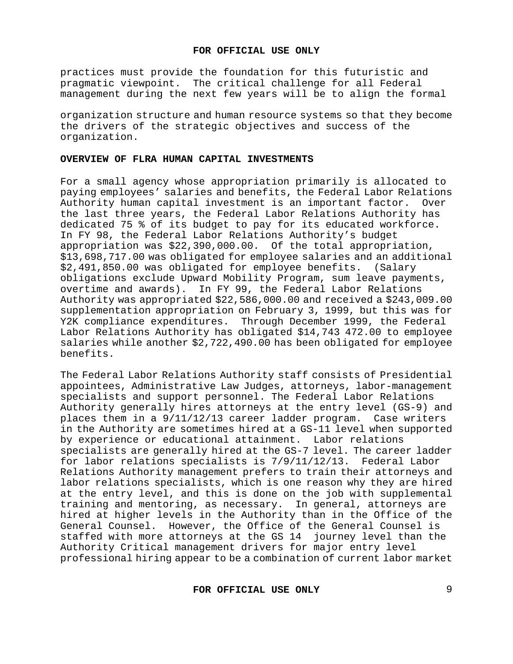practices must provide the foundation for this futuristic and pragmatic viewpoint. The critical challenge for all Federal management during the next few years will be to align the formal

organization structure and human resource systems so that they become the drivers of the strategic objectives and success of the organization.

#### **OVERVIEW OF FLRA HUMAN CAPITAL INVESTMENTS**

For a small agency whose appropriation primarily is allocated to paying employees' salaries and benefits, the Federal Labor Relations Authority human capital investment is an important factor. the last three years, the Federal Labor Relations Authority has dedicated 75 % of its budget to pay for its educated workforce. In FY 98, the Federal Labor Relations Authority's budget appropriation was \$22,390,000.00. Of the total appropriation, \$13,698,717.00 was obligated for employee salaries and an additional \$2,491,850.00 was obligated for employee benefits. (Salary obligations exclude Upward Mobility Program, sum leave payments, overtime and awards). In FY 99, the Federal Labor Relations Authority was appropriated \$22,586,000.00 and received a \$243,009.00 supplementation appropriation on February 3, 1999, but this was for Y2K compliance expenditures. Through December 1999, the Federal Labor Relations Authority has obligated \$14,743 472.00 to employee salaries while another \$2,722,490.00 has been obligated for employee benefits.

The Federal Labor Relations Authority staff consists of Presidential appointees, Administrative Law Judges, attorneys, labor-management specialists and support personnel. The Federal Labor Relations Authority generally hires attorneys at the entry level (GS-9) and places them in a 9/11/12/13 career ladder program.Case writers in the Authority are sometimes hired at a GS-11 level when supported by experience or educational attainment. Labor relations specialists are generally hired at the GS-7 level. The career ladder for labor relations specialists is 7/9/11/12/13. Federal Labor Relations Authority management prefers to train their attorneys and labor relations specialists, which is one reason why they are hired at the entry level, and this is done on the job with supplemental training and mentoring, as necessary.In general, attorneys are hired at higher levels in the Authority than in the Office of the General Counsel. However, the Office of the General Counsel is staffed with more attorneys at the GS 14 journey level than the Authority Critical management drivers for major entry level professional hiring appear to be a combination of current labor market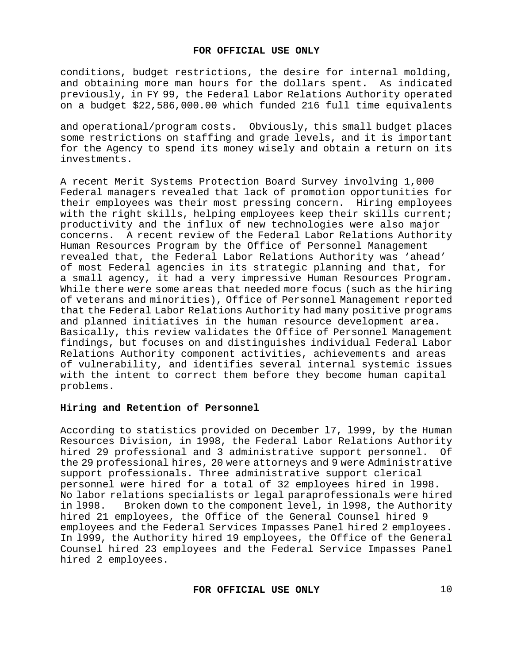conditions, budget restrictions, the desire for internal molding, and obtaining more man hours for the dollars spent**.** As indicated previously, in FY 99, the Federal Labor Relations Authority operated on a budget \$22,586,000.00 which funded 216 full time equivalents

and operational/program costs. Obviously, this small budget places some restrictions on staffing and grade levels, and it is important for the Agency to spend its money wisely and obtain a return on its investments.

A recent Merit Systems Protection Board Survey involving 1,000 Federal managers revealed that lack of promotion opportunities for their employees was their most pressing concern. Hiring employees with the right skills, helping employees keep their skills current; productivity and the influx of new technologies were also major concerns. A recent review of the Federal Labor Relations Authority Human Resources Program by the Office of Personnel Management revealed that, the Federal Labor Relations Authority was 'ahead' of most Federal agencies in its strategic planning and that, for a small agency, it had a very impressive Human Resources Program. While there were some areas that needed more focus (such as the hiring of veterans and minorities), Office of Personnel Management reported that the Federal Labor Relations Authority had many positive programs and planned initiatives in the human resource development area. Basically, this review validates the Office of Personnel Management findings, but focuses on and distinguishes individual Federal Labor Relations Authority component activities, achievements and areas of vulnerability, and identifies several internal systemic issues with the intent to correct them before they become human capital problems.

# **Hiring and Retention of Personnel**

According to statistics provided on December l7, l999, by the Human Resources Division, in 1998, the Federal Labor Relations Authority<br>hired 29 professional and 3 administrative support personnel. Of hired 29 professional and 3 administrative support personnel. the 29 professional hires, 20 were attorneys and 9 were Administrative support professionals. Three administrative support clerical personnel were hired for a total of 32 employees hired in l998. No labor relations specialists or legal paraprofessionals were hired<br>in 1998. Broken down to the component level, in 1998, the Authority Broken down to the component level, in 1998, the Authority hired 21 employees, the Office of the General Counsel hired 9 employees and the Federal Services Impasses Panel hired 2 employees. In l999, the Authority hired 19 employees, the Office of the General Counsel hired 23 employees and the Federal Service Impasses Panel hired 2 employees.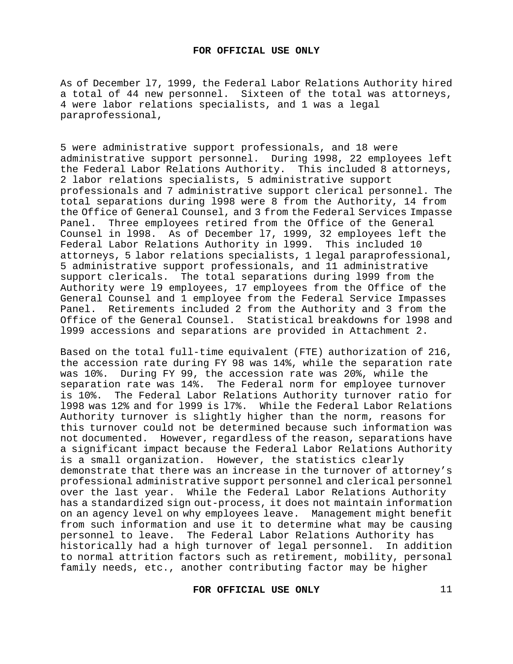As of December l7, 1999, the Federal Labor Relations Authority hired a total of 44 new personnel. Sixteen of the total was attorneys, 4 were labor relations specialists, and 1 was a legal paraprofessional,

5 were administrative support professionals, and 18 were administrative support personnel. During 1998, 22 employees left the Federal Labor Relations Authority. This included 8 attorneys, 2 labor relations specialists, 5 administrative support professionals and 7 administrative support clerical personnel. The total separations during l998 were 8 from the Authority, 14 from the Office of General Counsel, and 3 from the Federal Services Impasse Panel. Three employees retired from the Office of the General Counsel in l998.As of December l7, 1999, 32 employees left the Federal Labor Relations Authority in l999. This included 10 attorneys, 5 labor relations specialists, 1 legal paraprofessional, 5 administrative support professionals, and 11 administrative support clericals. The total separations during l999 from the Authority were l9 employees, 17 employees from the Office of the General Counsel and 1 employee from the Federal Service Impasses Panel. Retirements included 2 from the Authority and 3 from the Office of the General Counsel. Statistical breakdowns for l998 and l999 accessions and separations are provided in Attachment 2.

Based on the total full-time equivalent (FTE) authorization of 216, the accession rate during FY 98 was 14%, while the separation rate was 10%. During FY 99, the accession rate was 20%, while the separation rate was 14%. The Federal norm for employee turnover is 10%. The Federal Labor Relations Authority turnover ratio for l998 was 12% and for l999 is l7%. While the Federal Labor Relations Authority turnover is slightly higher than the norm, reasons for this turnover could not be determined because such information was not documented. However, regardless of the reason, separations have a significant impact because the Federal Labor Relations Authority is a small organization. However, the statistics clearly demonstrate that there was an increase in the turnover of attorney's professional administrative support personnel and clerical personnel over the last year. While the Federal Labor Relations Authority has a standardized sign out-process, it does not maintain information on an agency level on why employees leave. Management might benefit from such information and use it to determine what may be causing personnel to leave. The Federal Labor Relations Authority has historically had a high turnover of legal personnel.In addition to normal attrition factors such as retirement, mobility, personal family needs, etc., another contributing factor may be higher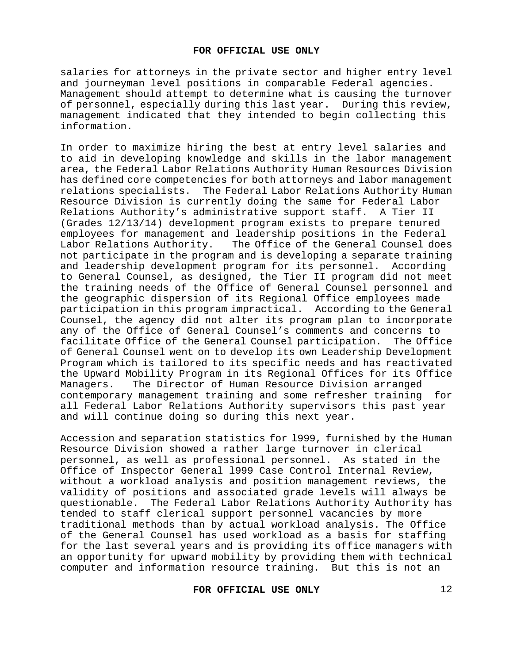salaries for attorneys in the private sector and higher entry level and journeyman level positions in comparable Federal agencies. Management should attempt to determine what is causing the turnover of personnel, especially during this last year. During this review, management indicated that they intended to begin collecting this information.

In order to maximize hiring the best at entry level salaries and to aid in developing knowledge and skills in the labor management area, the Federal Labor Relations Authority Human Resources Division has defined core competencies for both attorneys and labor management relations specialists. The Federal Labor Relations Authority Human Resource Division is currently doing the same for Federal Labor<br>Relations Authority's administrative support staff. A Tier II Relations Authority's administrative support staff. (Grades 12/13/14) development program exists to prepare tenured employees for management and leadership positions in the Federal The Office of the General Counsel does not participate in the program and is developing a separate training and leadership development program for its personnel. According to General Counsel, as designed, the Tier II program did not meet the training needs of the Office of General Counsel personnel and the geographic dispersion of its Regional Office employees made participation in this program impractical. According to the General Counsel, the agency did not alter its program plan to incorporate any of the Office of General Counsel's comments and concerns to facilitate Office of the General Counsel participation. The Office of General Counsel went on to develop its own Leadership Development Program which is tailored to its specific needs and has reactivated the Upward Mobility Program in its Regional Offices for its Office Managers. The Director of Human Resource Division arranged contemporary management training and some refresher training for all Federal Labor Relations Authority supervisors this past year and will continue doing so during this next year.

Accession and separation statistics for l999, furnished by the Human Resource Division showed a rather large turnover in clerical personnel, as well as professional personnel. As stated in the Office of Inspector General l999 Case Control Internal Review, without a workload analysis and position management reviews, the validity of positions and associated grade levels will always be questionable. The Federal Labor Relations Authority Authority has tended to staff clerical support personnel vacancies by more traditional methods than by actual workload analysis. The Office of the General Counsel has used workload as a basis for staffing for the last several years and is providing its office managers with an opportunity for upward mobility by providing them with technical computer and information resource training. But this is not an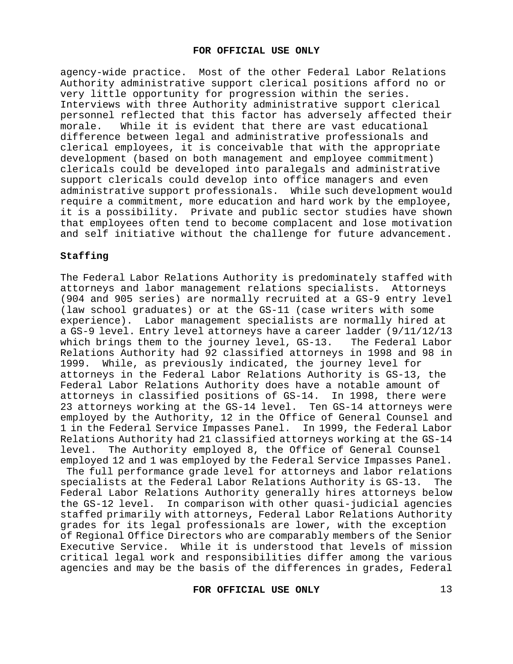agency-wide practice. Most of the other Federal Labor Relations Authority administrative support clerical positions afford no or very little opportunity for progression within the series. Interviews with three Authority administrative support clerical personnel reflected that this factor has adversely affected their<br>morale. While it is evident that there are vast educational While it is evident that there are vast educational difference between legal and administrative professionals and clerical employees, it is conceivable that with the appropriate development (based on both management and employee commitment) clericals could be developed into paralegals and administrative support clericals could develop into office managers and even administrative support professionals. While such development would require a commitment, more education and hard work by the employee, it is a possibility. Private and public sector studies have shown that employees often tend to become complacent and lose motivation and self initiative without the challenge for future advancement.

## **Staffing**

The Federal Labor Relations Authority is predominately staffed with attorneys and labor management relations specialists. Attorneys (904 and 905 series) are normally recruited at a GS-9 entry level (law school graduates) or at the GS-11 (case writers with some experience). Labor management specialists are normally hired at a GS-9 level. Entry level attorneys have a career ladder (9/11/12/13<br>which brings them to the journey level, GS-13. The Federal Labor which brings them to the journey level, GS-13. Relations Authority had 92 classified attorneys in 1998 and 98 in<br>1999. While, as previously indicated, the journey level for While, as previously indicated, the journey level for attorneys in the Federal Labor Relations Authority is GS-13, the Federal Labor Relations Authority does have a notable amount of attorneys in classified positions of GS-14. In 1998, there were 23 attorneys working at the GS-14 level. Ten GS-14 attorneys were employed by the Authority, 12 in the Office of General Counsel and 1 in the Federal Service Impasses Panel. In 1999, the Federal Labor Relations Authority had 21 classified attorneys working at the GS-14<br>level. The Authority emploved 8, the Office of General Counsel The Authority employed 8, the Office of General Counsel employed 12 and 1 was employed by the Federal Service Impasses Panel.

The full performance grade level for attorneys and labor relations<br>specialists at the Federal Labor Relations Authority is GS-13. The specialists at the Federal Labor Relations Authority is GS-13. Federal Labor Relations Authority generally hires attorneys below the GS-12 level. In comparison with other quasi-judicial agencies staffed primarily with attorneys, Federal Labor Relations Authority grades for its legal professionals are lower, with the exception of Regional Office Directors who are comparably members of the Senior Executive Service. While it is understood that levels of mission critical legal work and responsibilities differ among the various agencies and may be the basis of the differences in grades, Federal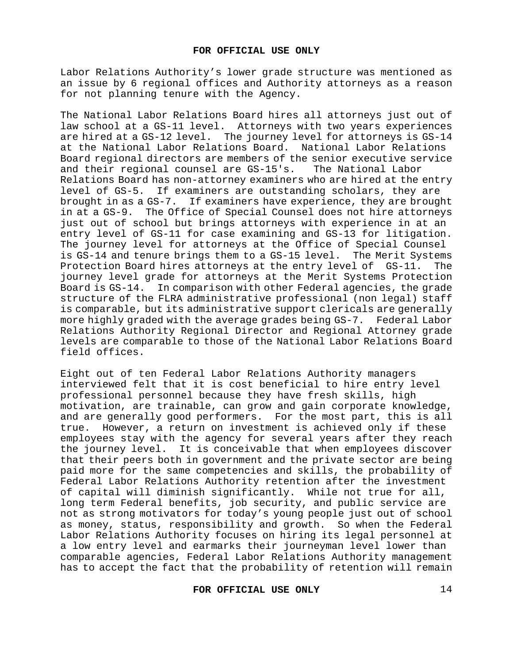Labor Relations Authority's lower grade structure was mentioned as an issue by 6 regional offices and Authority attorneys as a reason for not planning tenure with the Agency.

The National Labor Relations Board hires all attorneys just out of law school at a GS-11 level. Attorneys with two years experiences are hired at a GS-12 level. The journey level for attorneys is GS-14 at the National Labor Relations Board. National Labor Relations Board regional directors are members of the senior executive service<br>and their regional counsel are GS-15's. The National Labor and their regional counsel are GS-15's. Relations Board has non-attorney examiners who are hired at the entry level of GS-5. If examiners are outstanding scholars, they are brought in as a GS-7. If examiners have experience, they are brought in at a GS-9. The Office of Special Counsel does not hire attorneys just out of school but brings attorneys with experience in at an entry level of GS-11 for case examining and GS-13 for litigation. The journey level for attorneys at the Office of Special Counsel is GS-14 and tenure brings them to a GS-15 level. The Merit Systems<br>Protection Board hires attorneys at the entry level of GS-11. The Protection Board hires attorneys at the entry level of GS-11. journey level grade for attorneys at the Merit Systems Protection Board is GS-14. In comparison with other Federal agencies, the grade structure of the FLRA administrative professional (non legal) staff is comparable, but its administrative support clericals are generally more highly graded with the average grades being GS-7. Federal Labor Relations Authority Regional Director and Regional Attorney grade levels are comparable to those of the National Labor Relations Board field offices.

Eight out of ten Federal Labor Relations Authority managers interviewed felt that it is cost beneficial to hire entry level professional personnel because they have fresh skills, high motivation, are trainable, can grow and gain corporate knowledge, and are generally good performers. For the most part, this is all true. However, a return on investment is achieved only if these employees stay with the agency for several years after they reach the journey level. It is conceivable that when employees discover that their peers both in government and the private sector are being paid more for the same competencies and skills, the probability of Federal Labor Relations Authority retention after the investment of capital will diminish significantly. While not true for all, long term Federal benefits, job security, and public service are not as strong motivators for today's young people just out of school as money, status, responsibility and growth. So when the Federal Labor Relations Authority focuses on hiring its legal personnel at a low entry level and earmarks their journeyman level lower than comparable agencies, Federal Labor Relations Authority management has to accept the fact that the probability of retention will remain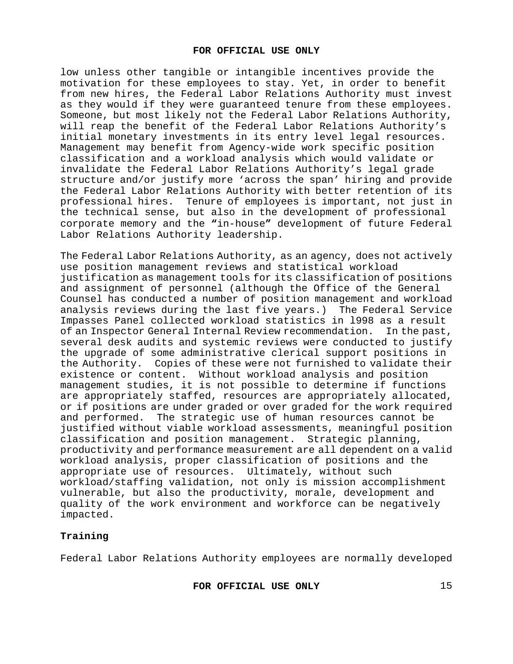low unless other tangible or intangible incentives provide the motivation for these employees to stay. Yet, in order to benefit from new hires, the Federal Labor Relations Authority must invest as they would if they were guaranteed tenure from these employees. Someone, but most likely not the Federal Labor Relations Authority, will reap the benefit of the Federal Labor Relations Authority's initial monetary investments in its entry level legal resources. Management may benefit from Agency-wide work specific position classification and a workload analysis which would validate or invalidate the Federal Labor Relations Authority's legal grade structure and/or justify more 'across the span' hiring and provide the Federal Labor Relations Authority with better retention of its professional hires. Tenure of employees is important, not just in the technical sense, but also in the development of professional corporate memory and the **"**in-house**"** development of future Federal Labor Relations Authority leadership.

The Federal Labor Relations Authority, as an agency, does not actively use position management reviews and statistical workload justification as management tools for its classification of positions and assignment of personnel (although the Office of the General Counsel has conducted a number of position management and workload analysis reviews during the last five years.) The Federal Service Impasses Panel collected workload statistics in l998 as a result of an Inspector General Internal Review recommendation. several desk audits and systemic reviews were conducted to justify the upgrade of some administrative clerical support positions in the Authority. Copies of these were not furnished to validate their existence or content. Without workload analysis and position management studies, it is not possible to determine if functions are appropriately staffed, resources are appropriately allocated, or if positions are under graded or over graded for the work required and performed.The strategic use of human resources cannot be justified without viable workload assessments, meaningful position classification and position management. Strategic planning, productivity and performance measurement are all dependent on a valid workload analysis, proper classification of positions and the appropriate use of resources. Ultimately, without such workload/staffing validation, not only is mission accomplishment vulnerable, but also the productivity, morale, development and quality of the work environment and workforce can be negatively impacted.

## **Training**

Federal Labor Relations Authority employees are normally developed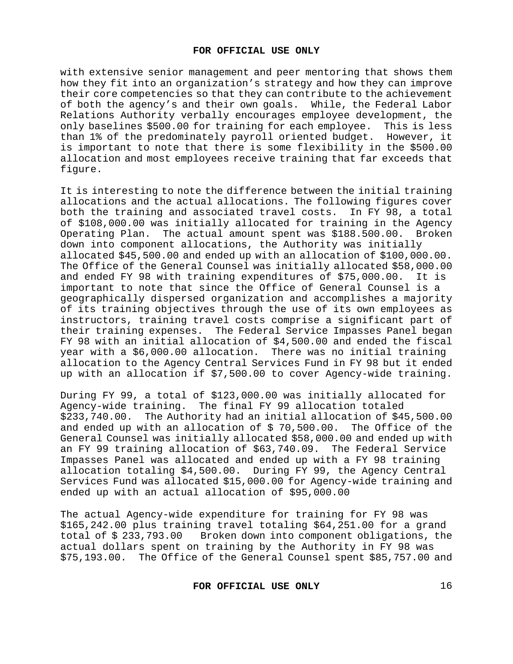with extensive senior management and peer mentoring that shows them how they fit into an organization's strategy and how they can improve their core competencies so that they can contribute to the achievement of both the agency's and their own goals. While, the Federal Labor Relations Authority verbally encourages employee development, the only baselines \$500.00 for training for each employee. This is less than 1% of the predominately payroll oriented budget.However, it is important to note that there is some flexibility in the \$500.00 allocation and most employees receive training that far exceeds that figure.

It is interesting to note the difference between the initial training allocations and the actual allocations. The following figures cover<br>both the training and associated travel costs. In FY 98, a total both the training and associated travel costs. of \$108,000.00 was initially allocated for training in the Agency Operating Plan. The actual amount spent was \$188.500.00.Broken down into component allocations, the Authority was initially allocated \$45,500.00 and ended up with an allocation of \$100,000.00. The Office of the General Counsel was initially allocated \$58,000.00<br>and ended FY 98 with training expenditures of \$75,000.00. It is and ended FY 98 with training expenditures of  $$75,000.00$ . important to note that since the Office of General Counsel is a geographically dispersed organization and accomplishes a majority of its training objectives through the use of its own employees as instructors, training travel costs comprise a significant part of their training expenses. The Federal Service Impasses Panel began FY 98 with an initial allocation of \$4,500.00 and ended the fiscal year with a \$6,000.00 allocation. There was no initial training allocation to the Agency Central Services Fund in FY 98 but it ended up with an allocation if \$7,500.00 to cover Agency-wide training.

During FY 99, a total of \$123,000.00 was initially allocated for Agency-wide training. The final FY 99 allocation totaled \$233,740.00. The Authority had an initial allocation of \$45,500.00 and ended up with an allocation of \$ 70,500.00. The Office of the General Counsel was initially allocated \$58,000.00 and ended up with an FY 99 training allocation of \$63,740.09. The Federal Service Impasses Panel was allocated and ended up with a FY 98 training allocation totaling \$4,500.00. During FY 99, the Agency Central Services Fund was allocated \$15,000.00 for Agency-wide training and ended up with an actual allocation of \$95,000.00

The actual Agency-wide expenditure for training for FY 98 was \$165,242.00 plus training travel totaling \$64,251.00 for a grand<br>total of \$233,793.00 Broken down into component obligations, the Broken down into component obligations, the actual dollars spent on training by the Authority in FY 98 was \$75,193.00. The Office of the General Counsel spent \$85,757.00 and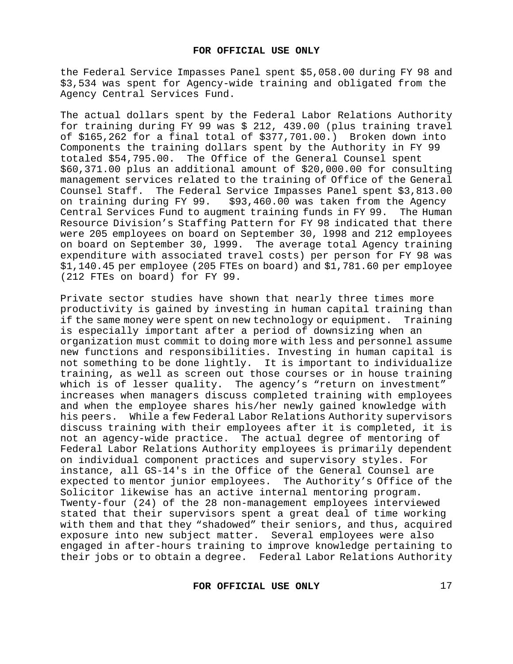the Federal Service Impasses Panel spent \$5,058.00 during FY 98 and \$3,534 was spent for Agency-wide training and obligated from the Agency Central Services Fund.

The actual dollars spent by the Federal Labor Relations Authority for training during FY 99 was \$ 212, 439.00 (plus training travel of \$165,262 for a final total of \$377,701.00.) Broken down into Components the training dollars spent by the Authority in FY 99 totaled \$54,795.00. The Office of the General Counsel spent \$60,371.00 plus an additional amount of \$20,000.00 for consulting management services related to the training of Office of the General Counsel Staff. The Federal Service Impasses Panel spent \$3,813.00<br>on training during FY 99. \$93,460.00 was taken from the Agency \$93,460.00 was taken from the Agency<br>ment training funds in FY 99. The Human Central Services Fund to augment training funds in FY 99. Resource Division's Staffing Pattern for FY 98 indicated that there were 205 employees on board on September 30, l998 and 212 employees on board on September 30, l999. The average total Agency training expenditure with associated travel costs) per person for FY 98 was \$1,140.45 per employee (205 FTEs on board) and \$1,781.60 per employee (212 FTEs on board) for FY 99.

Private sector studies have shown that nearly three times more productivity is gained by investing in human capital training than if the same money were spent on new technology or equipment. Training is especially important after a period of downsizing when an organization must commit to doing more with less and personnel assume new functions and responsibilities. Investing in human capital is not something to be done lightly. It is important to individualize training, as well as screen out those courses or in house training which is of lesser quality. The agency's "return on investment" increases when managers discuss completed training with employees and when the employee shares his/her newly gained knowledge with<br>hispeers. While a few Federal Labor Relations Authority supervisors While a few Federal Labor Relations Authority supervisors discuss training with their employees after it is completed, it is not an agency-wide practice. The actual degree of mentoring of Federal Labor Relations Authority employees is primarily dependent on individual component practices and supervisory styles. For instance, all GS-14's in the Office of the General Counsel are expected to mentor junior employees. The Authority's Office of the Solicitor likewise has an active internal mentoring program. Twenty-four (24) of the 28 non-management employees interviewed stated that their supervisors spent a great deal of time working with them and that they "shadowed" their seniors, and thus, acquired exposure into new subject matter. Several employees were also engaged in after-hours training to improve knowledge pertaining to their jobs or to obtain a degree. Federal Labor Relations Authority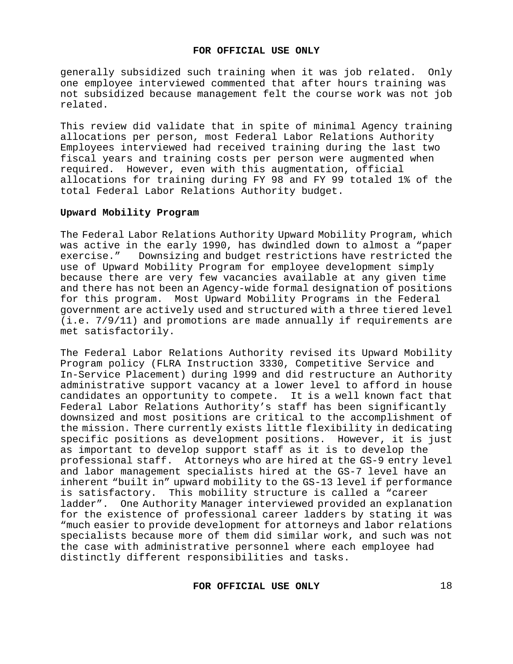generally subsidized such training when it was job related. Only one employee interviewed commented that after hours training was not subsidized because management felt the course work was not job related.

This review did validate that in spite of minimal Agency training allocations per person, most Federal Labor Relations Authority Employees interviewed had received training during the last two fiscal years and training costs per person were augmented when required. However, even with this augmentation, official allocations for training during FY 98 and FY 99 totaled 1% of the total Federal Labor Relations Authority budget.

## **Upward Mobility Program**

The Federal Labor Relations Authority Upward Mobility Program, which was active in the early 1990, has dwindled down to almost a "paper exercise." Downsizing and budget restrictions have restricted the use of Upward Mobility Program for employee development simply because there are very few vacancies available at any given time and there has not been an Agency-wide formal designation of positions for this program. Most Upward Mobility Programs in the Federal government are actively used and structured with a three tiered level (i.e. 7/9/11) and promotions are made annually if requirements are met satisfactorily.

The Federal Labor Relations Authority revised its Upward Mobility Program policy (FLRA Instruction 3330, Competitive Service and In-Service Placement) during l999 and did restructure an Authority administrative support vacancy at a lower level to afford in house candidates an opportunity to compete. It is a well known fact that Federal Labor Relations Authority's staff has been significantly downsized and most positions are critical to the accomplishment of the mission. There currently exists little flexibility in dedicating specific positions as development positions. However, it is just as important to develop support staff as it is to develop the professional staff. Attorneys who are hired at the GS-9 entry level and labor management specialists hired at the GS-7 level have an inherent "built in" upward mobility to the GS-13 level if performance is satisfactory. This mobility structure is called a "career ladder". One Authority Manager interviewed provided an explanation for the existence of professional career ladders by stating it was "much easier to provide development for attorneys and labor relations specialists because more of them did similar work, and such was not the case with administrative personnel where each employee had distinctly different responsibilities and tasks.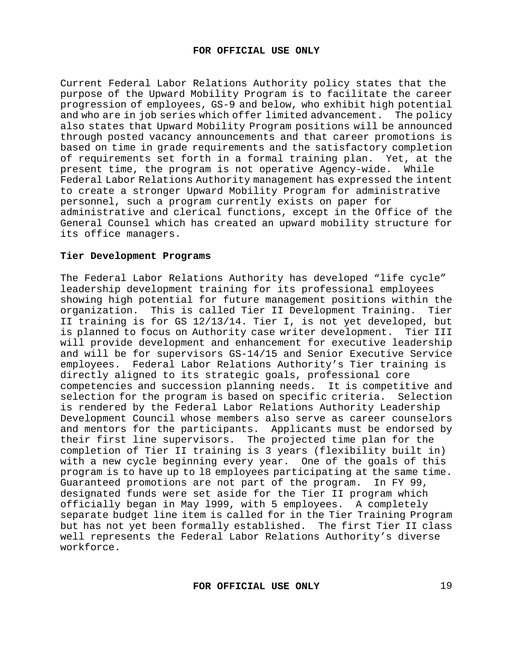Current Federal Labor Relations Authority policy states that the purpose of the Upward Mobility Program is to facilitate the career progression of employees, GS-9 and below, who exhibit high potential and who are in job series which offer limited advancement. The policy also states that Upward Mobility Program positions will be announced through posted vacancy announcements and that career promotions is based on time in grade requirements and the satisfactory completion of requirements set forth in a formal training plan. Yet, at the<br>present time, the program is not operative Agency-wide. While present time, the program is not operative Agency-wide. Federal Labor Relations Authority management has expressed the intent to create a stronger Upward Mobility Program for administrative personnel, such a program currently exists on paper for administrative and clerical functions, except in the Office of the General Counsel which has created an upward mobility structure for its office managers.

#### **Tier Development Programs**

The Federal Labor Relations Authority has developed "life cycle" leadership development training for its professional employees showing high potential for future management positions within the organization. This is called Tier II Development Training. Tier II training is for GS 12/13/14. Tier I, is not yet developed, but is planned to focus on Authority case writer development. Tier III will provide development and enhancement for executive leadership and will be for supervisors GS-14/15 and Senior Executive Service employees. Federal Labor Relations Authority's Tier training is directly aligned to its strategic goals, professional core competencies and succession planning needs. It is competitive and selection for the program is based on specific criteria. Selection is rendered by the Federal Labor Relations Authority Leadership Development Council whose members also serve as career counselors and mentors for the participants. Applicants must be endorsed by their first line supervisors. The projected time plan for the completion of Tier II training is 3 years (flexibility built in) with a new cycle beginning every year. One of the goals of this program is to have up to l8 employees participating at the same time. Guaranteed promotions are not part of the program. In FY 99, designated funds were set aside for the Tier II program which officially began in May l999, with 5 employees. A completely separate budget line item is called for in the Tier Training Program but has not yet been formally established. The first Tier II class well represents the Federal Labor Relations Authority's diverse workforce.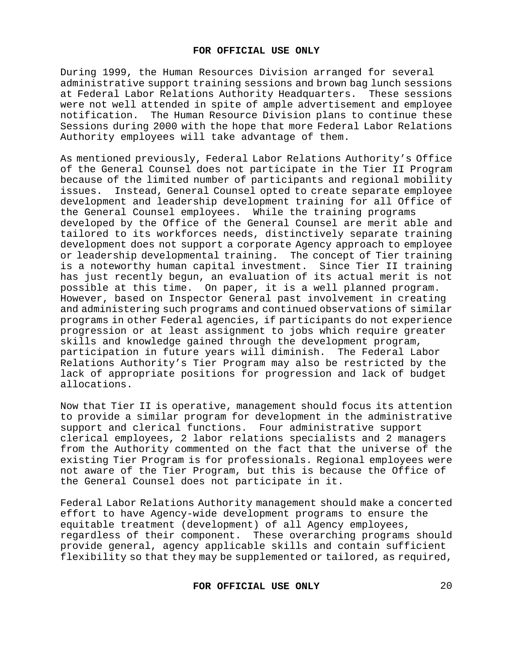During 1999, the Human Resources Division arranged for several administrative support training sessions and brown bag lunch sessions at Federal Labor Relations Authority Headquarters. These sessions were not well attended in spite of ample advertisement and employee notification. The Human Resource Division plans to continue these Sessions during 2000 with the hope that more Federal Labor Relations Authority employees will take advantage of them.

As mentioned previously, Federal Labor Relations Authority's Office of the General Counsel does not participate in the Tier II Program because of the limited number of participants and regional mobility issues. Instead, General Counsel opted to create separate employee development and leadership development training for all Office of the General Counsel employees. While the training programs developed by the Office of the General Counsel are merit able and tailored to its workforces needs, distinctively separate training development does not support a corporate Agency approach to employee or leadership developmental training. The concept of Tier training is a noteworthy human capital investment. Since Tier II training has just recently begun, an evaluation of its actual merit is not possible at this time. On paper, it is a well planned program. However, based on Inspector General past involvement in creating and administering such programs and continued observations of similar programs in other Federal agencies, if participants do not experience progression or at least assignment to jobs which require greater skills and knowledge gained through the development program, participation in future years will diminish. The Federal Labor Relations Authority's Tier Program may also be restricted by the lack of appropriate positions for progression and lack of budget allocations.

Now that Tier II is operative, management should focus its attention to provide a similar program for development in the administrative support and clerical functions. Four administrative support clerical employees, 2 labor relations specialists and 2 managers from the Authority commented on the fact that the universe of the existing Tier Program is for professionals. Regional employees were not aware of the Tier Program, but this is because the Office of the General Counsel does not participate in it.

Federal Labor Relations Authority management should make a concerted effort to have Agency-wide development programs to ensure the equitable treatment (development) of all Agency employees, regardless of their component.These overarching programs should provide general, agency applicable skills and contain sufficient flexibility so that they may be supplemented or tailored, as required,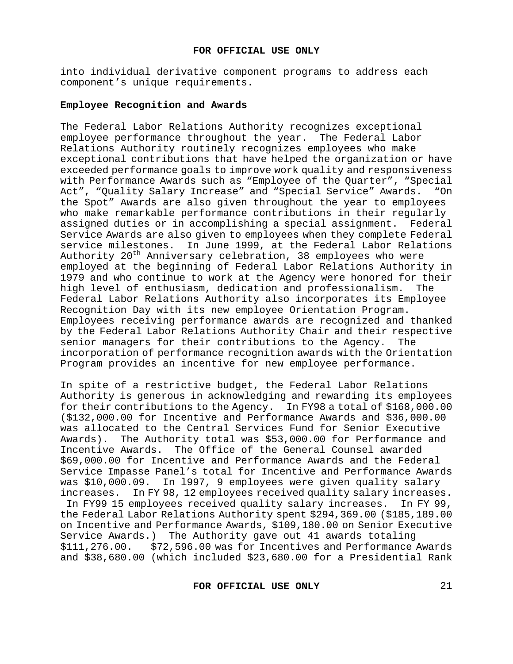into individual derivative component programs to address each component's unique requirements.

#### **Employee Recognition and Awards**

The Federal Labor Relations Authority recognizes exceptional employee performance throughout the year. The Federal Labor Relations Authority routinely recognizes employees who make exceptional contributions that have helped the organization or have exceeded performance goals to improve work quality and responsiveness with Performance Awards such as "Employee of the Quarter", "Special Act", "Quality Salary Increase" and "Special Service" Awards. "On the Spot" Awards are also given throughout the year to employees who make remarkable performance contributions in their regularly assigned duties or in accomplishing a special assignment. Federal Service Awards are also given to employees when they complete Federal service milestones. In June 1999, at the Federal Labor Relations Authority 20<sup>th</sup> Anniversary celebration, 38 employees who were employed at the beginning of Federal Labor Relations Authority in 1979 and who continue to work at the Agency were honored for their high level of enthusiasm, dedication and professionalism. The Federal Labor Relations Authority also incorporates its Employee Recognition Day with its new employee Orientation Program. Employees receiving performance awards are recognized and thanked by the Federal Labor Relations Authority Chair and their respective<br>senior managers for their contributions to the Agency. The senior managers for their contributions to the Agency. incorporation of performance recognition awards with the Orientation Program provides an incentive for new employee performance.

In spite of a restrictive budget, the Federal Labor Relations Authority is generous in acknowledging and rewarding its employees for their contributions to the Agency. In FY98 a total of \$168,000.00 (\$132,000.00 for Incentive and Performance Awards and \$36,000.00 was allocated to the Central Services Fund for Senior Executive Awards). The Authority total was \$53,000.00 for Performance and Incentive Awards. The Office of the General Counsel awarded \$69,000.00 for Incentive and Performance Awards and the Federal Service Impasse Panel's total for Incentive and Performance Awards was \$10,000.09.In l997, 9 employees were given quality salary increases. In FY 98, 12 employees received quality salary increases. In FY99 15 employees received quality salary increases. In FY 99, the Federal Labor Relations Authority spent \$294,369.00 (\$185,189.00 on Incentive and Performance Awards, \$109,180.00 on Senior Executive Service Awards.) The Authority gave out 41 awards totaling \$111,276.00. \$72,596.00 was for Incentives and Performance Awards and \$38,680.00 (which included \$23,680.00 for a Presidential Rank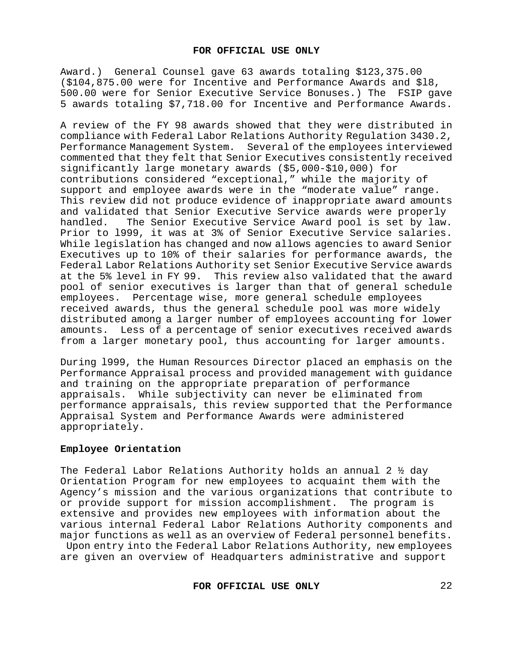Award.) General Counsel gave 63 awards totaling \$123,375.00 (\$104,875.00 were for Incentive and Performance Awards and \$l8, 500.00 were for Senior Executive Service Bonuses.) The FSIP gave 5 awards totaling \$7,718.00 for Incentive and Performance Awards.

A review of the FY 98 awards showed that they were distributed in compliance with Federal Labor Relations Authority Regulation 3430.2, Performance Management System. Several of the employees interviewed commented that they felt that Senior Executives consistently received significantly large monetary awards (\$5,000-\$10,000) for contributions considered "exceptional," while the majority of support and employee awards were in the "moderate value" range. This review did not produce evidence of inappropriate award amounts and validated that Senior Executive Service awards were properly<br>handled. The Senior Executive Service Award pool is set by law. The Senior Executive Service Award pool is set by law. Prior to l999, it was at 3% of Senior Executive Service salaries. While legislation has changed and now allows agencies to award Senior Executives up to 10% of their salaries for performance awards, the Federal Labor Relations Authority set Senior Executive Service awards at the 5% level in FY 99. This review also validated that the award pool of senior executives is larger than that of general schedule employees. Percentage wise, more general schedule employees received awards, thus the general schedule pool was more widely distributed among a larger number of employees accounting for lower amounts. Less of a percentage of senior executives received awards from a larger monetary pool, thus accounting for larger amounts.

During l999, the Human Resources Director placed an emphasis on the Performance Appraisal process and provided management with guidance and training on the appropriate preparation of performance appraisals. While subjectivity can never be eliminated from performance appraisals, this review supported that the Performance Appraisal System and Performance Awards were administered appropriately.

## **Employee Orientation**

The Federal Labor Relations Authority holds an annual 2 ½ day Orientation Program for new employees to acquaint them with the Agency's mission and the various organizations that contribute to or provide support for mission accomplishment. The program is extensive and provides new employees with information about the various internal Federal Labor Relations Authority components and major functions as well as an overview of Federal personnel benefits.

Upon entry into the Federal Labor Relations Authority, new employees are given an overview of Headquarters administrative and support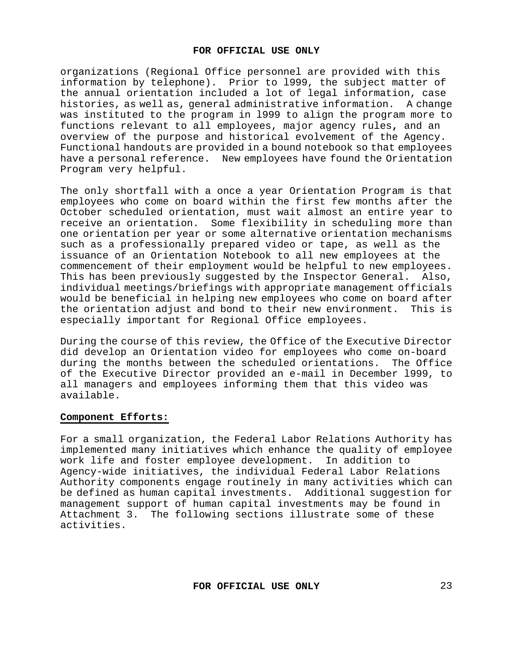organizations (Regional Office personnel are provided with this information by telephone). Prior to l999, the subject matter of the annual orientation included a lot of legal information, case histories, as well as, general administrative information. A change was instituted to the program in l999 to align the program more to functions relevant to all employees, major agency rules**,** and an overview of the purpose and historical evolvement of the Agency. Functional handouts are provided in a bound notebook so that employees have a personal reference. New employees have found the Orientation Program very helpful.

The only shortfall with a once a year Orientation Program is that employees who come on board within the first few months after the October scheduled orientation, must wait almost an entire year to receive an orientation. Some flexibility in scheduling more than one orientation per year or some alternative orientation mechanisms such as a professionally prepared video or tape, as well as the issuance of an Orientation Notebook to all new employees at the commencement of their employment would be helpful to new employees. This has been previously suggested by the Inspector General. Also, individual meetings/briefings with appropriate management officials would be beneficial in helping new employees who come on board after<br>the orientation adjust and bond to their new environment. This is the orientation adjust and bond to their new environment. especially important for Regional Office employees.

During the course of this review, the Office of the Executive Director did develop an Orientation video for employees who come on-board during the months between the scheduled orientations. The Office of the Executive Director provided an e-mail in December l999, to all managers and employees informing them that this video was available.

## **Component Efforts:**

For a small organization, the Federal Labor Relations Authority has implemented many initiatives which enhance the quality of employee work life and foster employee development. In addition to work life and foster employee development. Agency-wide initiatives, the individual Federal Labor Relations Authority components engage routinely in many activities which can be defined as human capital investments. Additional suggestion for management support of human capital investments may be found in Attachment 3. The following sections illustrate some of these activities.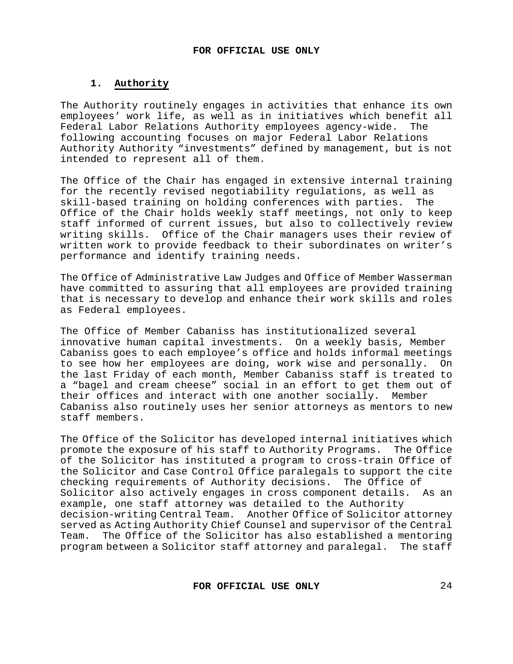# **1. Authority**

The Authority routinely engages in activities that enhance its own employees' work life, as well as in initiatives which benefit all<br>Federal Labor Relations Authority employees agency-wide. The Federal Labor Relations Authority employees agency-wide. following accounting focuses on major Federal Labor Relations Authority Authority "investments" defined by management, but is not intended to represent all of them.

The Office of the Chair has engaged in extensive internal training for the recently revised negotiability regulations, as well as skill-based training on holding conferences with parties. The Office of the Chair holds weekly staff meetings, not only to keep staff informed of current issues, but also to collectively review writing skills. Office of the Chair managers uses their review of written work to provide feedback to their subordinates on writer's performance and identify training needs.

The Office of Administrative Law Judges and Office of Member Wasserman have committed to assuring that all employees are provided training that is necessary to develop and enhance their work skills and roles as Federal employees.

The Office of Member Cabaniss has institutionalized several innovative human capital investments. On a weekly basis, Member Cabaniss goes to each employee's office and holds informal meetings to see how her employees are doing, work wise and personally. On the last Friday of each month, Member Cabaniss staff is treated to a "bagel and cream cheese" social in an effort to get them out of their offices and interact with one another socially. Member Cabaniss also routinely uses her senior attorneys as mentors to new staff members.

The Office of the Solicitor has developed internal initiatives which promote the exposure of his staff to Authority Programs. The Office of the Solicitor has instituted a program to cross-train Office of the Solicitor and Case Control Office paralegals to support the cite checking requirements of Authority decisions. The Office of<br>Solicitor also actively engages in cross component details. As an Solicitor also actively engages in cross component details. example, one staff attorney was detailed to the Authority decision-writing Central Team. Another Office of Solicitor attorney served as Acting Authority Chief Counsel and supervisor of the Central<br>Team. The Office of the Solicitor has also established a mentoring The Office of the Solicitor has also established a mentoring program between a Solicitor staff attorney and paralegal. The staff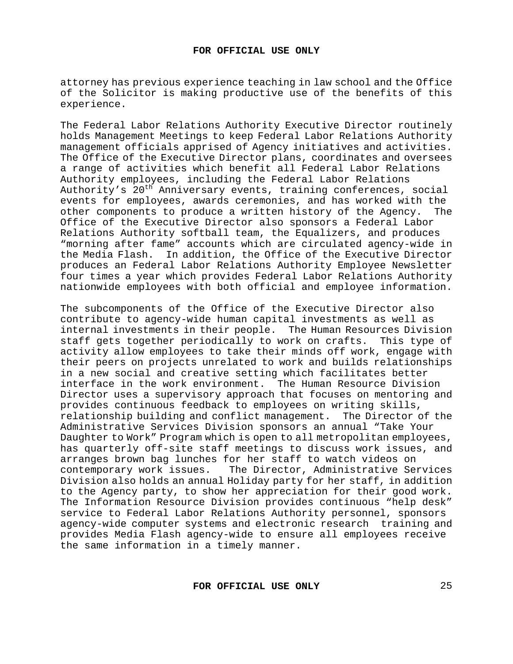attorney has previous experience teaching in law school and the Office of the Solicitor is making productive use of the benefits of this experience.

The Federal Labor Relations Authority Executive Director routinely holds Management Meetings to keep Federal Labor Relations Authority management officials apprised of Agency initiatives and activities. The Office of the Executive Director plans, coordinates and oversees a range of activities which benefit all Federal Labor Relations Authority employees, including the Federal Labor Relations Authority's 20<sup>th</sup> Anniversary events, training conferences, social events for employees, awards ceremonies, and has worked with the<br>other components to produce a written history of the Agency. The other components to produce a written history of the Agency. Office of the Executive Director also sponsors a Federal Labor Relations Authority softball team, the Equalizers, and produces "morning after fame" accounts which are circulated agency-wide in the Media Flash. In addition, the Office of the Executive Director produces an Federal Labor Relations Authority Employee Newsletter four times a year which provides Federal Labor Relations Authority nationwide employees with both official and employee information.

The subcomponents of the Office of the Executive Director also contribute to agency-wide human capital investments as well as internal investments in their people. The Human Resources Division staff gets together periodically to work on crafts. This type of activity allow employees to take their minds off work, engage with their peers on projects unrelated to work and builds relationships in a new social and creative setting which facilitates better interface in the work environment. The Human Resource Division Director uses a supervisory approach that focuses on mentoring and provides continuous feedback to employees on writing skills, relationship building and conflict management. The Director of the Administrative Services Division sponsors an annual "Take Your Daughter to Work" Program which is open to all metropolitan employees, has quarterly off-site staff meetings to discuss work issues, and arranges brown bag lunches for her staff to watch videos on<br>contemporary work issues. The Director, Administrative Se: The Director, Administrative Services Division also holds an annual Holiday party for her staff, in addition to the Agency party, to show her appreciation for their good work. The Information Resource Division provides continuous "help desk" service to Federal Labor Relations Authority personnel, sponsors agency-wide computer systems and electronic research training and provides Media Flash agency-wide to ensure all employees receive the same information in a timely manner.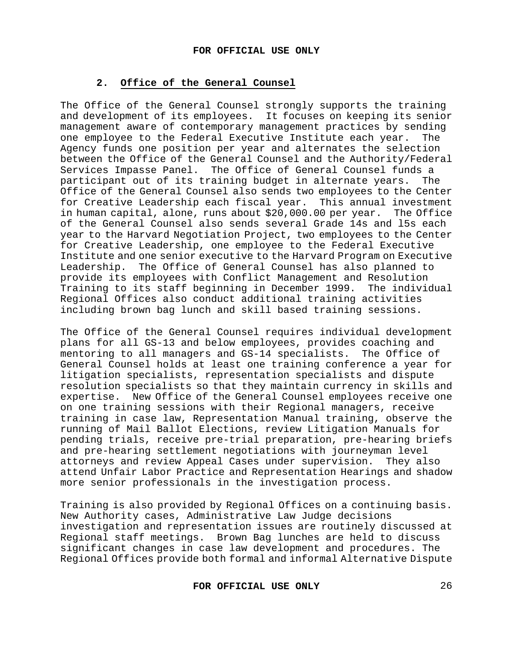## **2. Office of the General Counsel**

The Office of the General Counsel strongly supports the training and development of its employees. It focuses on keeping its senior management aware of contemporary management practices by sending<br>one emplovee to the Federal Executive Institute each vear. The one employee to the Federal Executive Institute each year. Agency funds one position per year and alternates the selection between the Office of the General Counsel and the Authority/Federal Services Impasse Panel. The Office of General Counsel funds a participant out of its training budget in alternate years. The Office of the General Counsel also sends two employees to the Center for Creative Leadership each fiscal year. This annual investment in human capital, alone, runs about \$20,000.00 per year. The Office of the General Counsel also sends several Grade 14s and l5s each year to the Harvard Negotiation Project, two employees to the Center for Creative Leadership, one employee to the Federal Executive Institute and one senior executive to the Harvard Program on Executive Leadership. The Office of General Counsel has also planned to provide its employees with Conflict Management and Resolution Training to its staff beginning in December 1999. The individual Regional Offices also conduct additional training activities including brown bag lunch and skill based training sessions.

The Office of the General Counsel requires individual development plans for all GS-13 and below employees, provides coaching and<br>mentoring to all managers and GS-14 specialists. The Office of mentoring to all managers and GS-14 specialists. General Counsel holds at least one training conference a year for litigation specialists, representation specialists and dispute resolution specialists so that they maintain currency in skills and expertise. New Office of the General Counsel employees receive one on one training sessions with their Regional managers, receive training in case law, Representation Manual training, observe the running of Mail Ballot Elections, review Litigation Manuals for pending trials, receive pre-trial preparation, pre-hearing briefs and pre-hearing settlement negotiations with journeyman level attorneys and review Appeal Cases under supervision. They also attend Unfair Labor Practice and Representation Hearings and shadow more senior professionals in the investigation process.

Training is also provided by Regional Offices on a continuing basis. New Authority cases, Administrative Law Judge decisions investigation and representation issues are routinely discussed at Regional staff meetings. Brown Bag lunches are held to discuss significant changes in case law development and procedures. The Regional Offices provide both formal and informal Alternative Dispute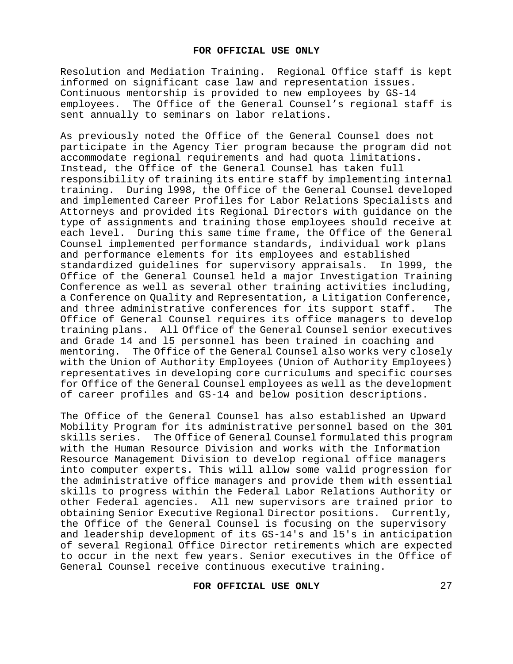Resolution and Mediation Training. Regional Office staff is kept informed on significant case law and representation issues. Continuous mentorship is provided to new employees by GS-14 employees. The Office of the General Counsel's regional staff is sent annually to seminars on labor relations.

As previously noted the Office of the General Counsel does not participate in the Agency Tier program because the program did not accommodate regional requirements and had quota limitations. Instead, the Office of the General Counsel has taken full responsibility of training its entire staff by implementing internal training.During l998, the Office of the General Counsel developed and implemented Career Profiles for Labor Relations Specialists and Attorneys and provided its Regional Directors with guidance on the type of assignments and training those employees should receive at each level. During this same time frame, the Office of the General Counsel implemented performance standards, individual work plans and performance elements for its employees and established standardized guidelines for supervisory appraisals. In l999, the Office of the General Counsel held a major Investigation Training Conference as well as several other training activities including, a Conference on Quality and Representation, a Litigation Conference, and three administrative conferences for its support staff. The Office of General Counsel requires its office managers to develop training plans. All Office of the General Counsel senior executives and Grade 14 and l5 personnel has been trained in coaching and The Office of the General Counsel also works very closely with the Union of Authority Employees (Union of Authority Employees) representatives in developing core curriculums and specific courses for Office of the General Counsel employees as well as the development of career profiles and GS-14 and below position descriptions.

The Office of the General Counsel has also established an Upward Mobility Program for its administrative personnel based on the 301 skills series. The Office of General Counsel formulated this program with the Human Resource Division and works with the Information Resource Management Division to develop regional office managers into computer experts. This will allow some valid progression for the administrative office managers and provide them with essential skills to progress within the Federal Labor Relations Authority or other Federal agencies. All new supervisors are trained prior to obtaining Senior Executive Regional Director positions. Currently, the Office of the General Counsel is focusing on the supervisory and leadership development of its GS-14's and l5's in anticipation of several Regional Office Director retirements which are expected to occur in the next few years. Senior executives in the Office of General Counsel receive continuous executive training.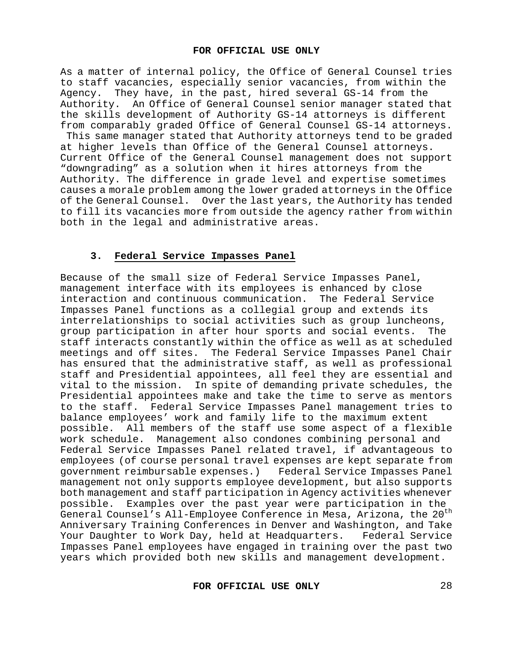As a matter of internal policy, the Office of General Counsel tries to staff vacancies, especially senior vacancies, from within the Agency. They have, in the past, hired several GS-14 from the Authority. An Office of General Counsel senior manager stated that the skills development of Authority GS-14 attorneys is different from comparably graded Office of General Counsel GS-14 attorneys. This same manager stated that Authority attorneys tend to be graded at higher levels than Office of the General Counsel attorneys. Current Office of the General Counsel management does not support "downgrading" as a solution when it hires attorneys from the Authority. The difference in grade level and expertise sometimes causes a morale problem among the lower graded attorneys in the Office of the General Counsel. Over the last years, the Authority has tended to fill its vacancies more from outside the agency rather from within both in the legal and administrative areas.

# **3. Federal Service Impasses Panel**

Because of the small size of Federal Service Impasses Panel, management interface with its employees is enhanced by close interaction and continuous communication. The Federal Service Impasses Panel functions as a collegial group and extends its interrelationships to social activities such as group luncheons, group participation in after hour sports and social events. staff interacts constantly within the office as well as at scheduled meetings and off sites. The Federal Service Impasses Panel Chair has ensured that the administrative staff, as well as professional staff and Presidential appointees, all feel they are essential and vital to the mission. In spite of demanding private schedules, the Presidential appointees make and take the time to serve as mentors to the staff. Federal Service Impasses Panel management tries to balance employees' work and family life to the maximum extent possible. All members of the staff use some aspect of a flexible work schedule. Management also condones combining personal and Federal Service Impasses Panel related travel, if advantageous to employees (of course personal travel expenses are kept separate from<br>government reimbursable expenses.) Federal Service Impasses Panel government reimbursable expenses.) management not only supports employee development, but also supports both management and staff participation in Agency activities whenever possible. Examples over the past year were participation in the General Counsel's All-Employee Conference in Mesa, Arizona, the 20<sup>th</sup> Anniversary Training Conferences in Denver and Washington, and Take<br>Your Daughter to Work Day, held at Headquarters. Federal Service Your Daughter to Work Day, held at Headquarters. Impasses Panel employees have engaged in training over the past two years which provided both new skills and management development.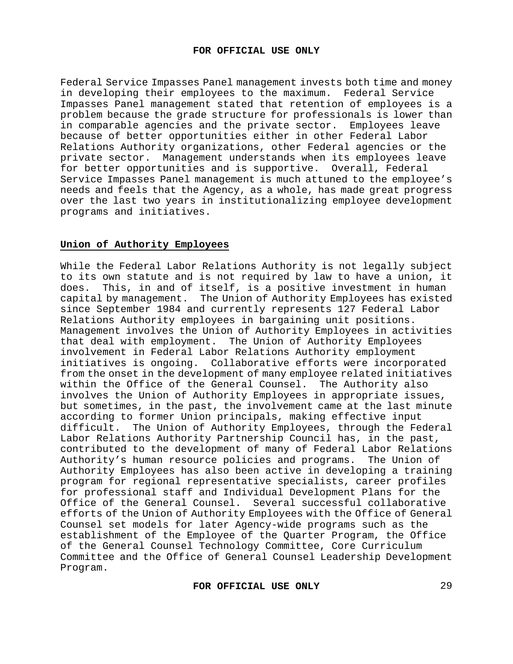Federal Service Impasses Panel management invests both time and money in developing their employees to the maximum. Federal Service Impasses Panel management stated that retention of employees is a problem because the grade structure for professionals is lower than in comparable agencies and the private sector. Employees leave because of better opportunities either in other Federal Labor Relations Authority organizations, other Federal agencies or the private sector. Management understands when its employees leave for better opportunities and is supportive. Overall, Federal Service Impasses Panel management is much attuned to the employee's needs and feels that the Agency, as a whole, has made great progress over the last two years in institutionalizing employee development programs and initiatives.

# **Union of Authority Employees**

While the Federal Labor Relations Authority is not legally subject to its own statute and is not required by law to have a union, it does. This, in and of itself, is a positive investment in human capital by management. The Union of Authority Employees has existed since September 1984 and currently represents 127 Federal Labor Relations Authority employees in bargaining unit positions. Management involves the Union of Authority Employees in activities that deal with employment. The Union of Authority Employees involvement in Federal Labor Relations Authority employment initiatives is ongoing. Collaborative efforts were incorporated from the onset in the development of many employee related initiatives within the Office of the General Counsel.The Authority also involves the Union of Authority Employees in appropriate issues, but sometimes, in the past, the involvement came at the last minute according to former Union principals, making effective input difficult. The Union of Authority Employees, through the Federal Labor Relations Authority Partnership Council has, in the past, contributed to the development of many of Federal Labor Relations Authority's human resource policies and programs. The Union of Authority Employees has also been active in developing a training program for regional representative specialists, career profiles for professional staff and Individual Development Plans for the Office of the General Counsel. Several successful collaborative efforts of the Union of Authority Employees with the Office of General Counsel set models for later Agency-wide programs such as the establishment of the Employee of the Quarter Program, the Office of the General Counsel Technology Committee, Core Curriculum Committee and the Office of General Counsel Leadership Development Program.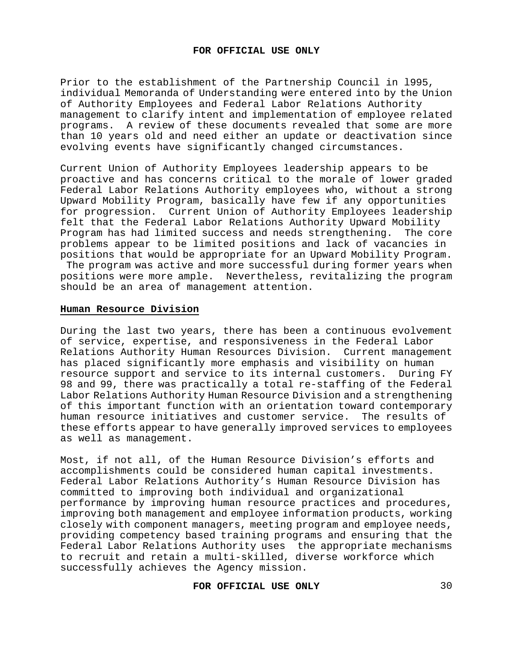Prior to the establishment of the Partnership Council in l995, individual Memoranda of Understanding were entered into by the Union of Authority Employees and Federal Labor Relations Authority management to clarify intent and implementation of employee related programs. A review of these documents revealed that some are more than 10 years old and need either an update or deactivation since evolving events have significantly changed circumstances.

Current Union of Authority Employees leadership appears to be proactive and has concerns critical to the morale of lower graded Federal Labor Relations Authority employees who, without a strong Upward Mobility Program, basically have few if any opportunities for progression. Current Union of Authority Employees leadership felt that the Federal Labor Relations Authority Upward Mobility Program has had limited success and needs strengthening. The core problems appear to be limited positions and lack of vacancies in positions that would be appropriate for an Upward Mobility Program. The program was active and more successful during former years when positions were more ample. Nevertheless, revitalizing the program

# **Human Resource Division**

should be an area of management attention.

During the last two years, there has been a continuous evolvement of service, expertise, and responsiveness in the Federal Labor Relations Authority Human Resources Division. Current management has placed significantly more emphasis and visibility on human resource support and service to its internal customers. During FY 98 and 99, there was practically a total re-staffing of the Federal Labor Relations Authority Human Resource Division and a strengthening of this important function with an orientation toward contemporary human resource initiatives and customer service. The results of these efforts appear to have generally improved services to employees as well as management.

Most, if not all, of the Human Resource Division's efforts and accomplishments could be considered human capital investments. Federal Labor Relations Authority's Human Resource Division has committed to improving both individual and organizational performance by improving human resource practices and procedures, improving both management and employee information products, working closely with component managers, meeting program and employee needs, providing competency based training programs and ensuring that the Federal Labor Relations Authority uses the appropriate mechanisms to recruit and retain a multi-skilled, diverse workforce which successfully achieves the Agency mission.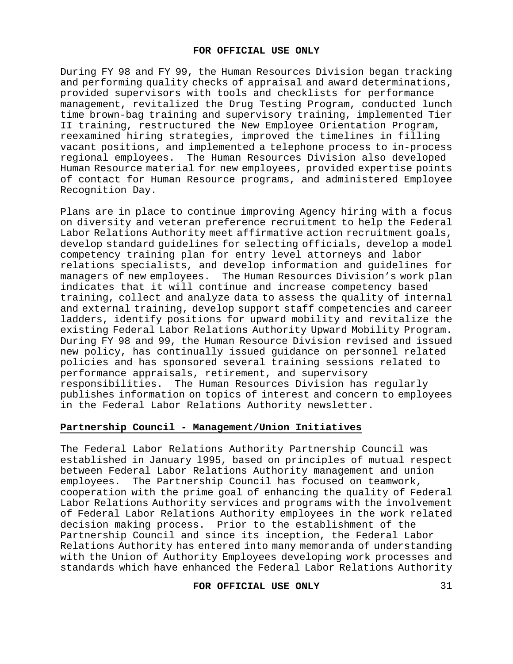During FY 98 and FY 99, the Human Resources Division began tracking and performing quality checks of appraisal and award determinations, provided supervisors with tools and checklists for performance management, revitalized the Drug Testing Program, conducted lunch time brown-bag training and supervisory training, implemented Tier II training, restructured the New Employee Orientation Program, reexamined hiring strategies, improved the timelines in filling vacant positions, and implemented a telephone process to in-process regional employees. The Human Resources Division also developed Human Resource material for new employees, provided expertise points of contact for Human Resource programs, and administered Employee Recognition Day.

Plans are in place to continue improving Agency hiring with a focus on diversity and veteran preference recruitment to help the Federal Labor Relations Authority meet affirmative action recruitment goals, develop standard guidelines for selecting officials, develop a model competency training plan for entry level attorneys and labor relations specialists, and develop information and guidelines for managers of new employees. The Human Resources Division's work plan indicates that it will continue and increase competency based training, collect and analyze data to assess the quality of internal and external training, develop support staff competencies and career ladders, identify positions for upward mobility and revitalize the existing Federal Labor Relations Authority Upward Mobility Program. During FY 98 and 99, the Human Resource Division revised and issued new policy, has continually issued guidance on personnel related policies and has sponsored several training sessions related to performance appraisals, retirement, and supervisory responsibilities. The Human Resources Division has regularly publishes information on topics of interest and concern to employees in the Federal Labor Relations Authority newsletter.

## **Partnership Council - Management/Union Initiatives**

The Federal Labor Relations Authority Partnership Council was established in January l995, based on principles of mutual respect between Federal Labor Relations Authority management and union employees. The Partnership Council has focused on teamwork, cooperation with the prime goal of enhancing the quality of Federal Labor Relations Authority services and programs with the involvement of Federal Labor Relations Authority employees in the work related decision making process. Prior to the establishment of the Partnership Council and since its inception, the Federal Labor Relations Authority has entered into many memoranda of understanding with the Union of Authority Employees developing work processes and standards which have enhanced the Federal Labor Relations Authority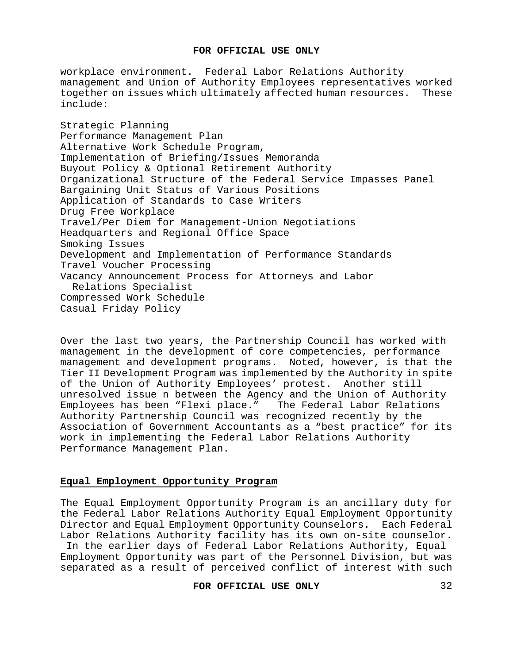workplace environment. Federal Labor Relations Authority management and Union of Authority Employees representatives worked<br>together on issues which ultimately affected human resources. These together on issues which ultimately affected human resources. include:

Strategic Planning Performance Management Plan Alternative Work Schedule Program, Implementation of Briefing/Issues Memoranda Buyout Policy & Optional Retirement Authority Organizational Structure of the Federal Service Impasses Panel Bargaining Unit Status of Various Positions Application of Standards to Case Writers Drug Free Workplace Travel/Per Diem for Management-Union Negotiations Headquarters and Regional Office Space Smoking Issues Development and Implementation of Performance Standards Travel Voucher Processing Vacancy Announcement Process for Attorneys and Labor Relations Specialist Compressed Work Schedule Casual Friday Policy

Over the last two years, the Partnership Council has worked with management in the development of core competencies, performance management and development programs. Noted, however, is that the Tier II Development Program was implemented by the Authority in spite of the Union of Authority Employees' protest. Another still unresolved issue n between the Agency and the Union of Authority Employees has been "Flexi place." The Federal Labor Relations Authority Partnership Council was recognized recently by the Association of Government Accountants as a "best practice" for its work in implementing the Federal Labor Relations Authority Performance Management Plan.

## **Equal Employment Opportunity Program**

The Equal Employment Opportunity Program is an ancillary duty for the Federal Labor Relations Authority Equal Employment Opportunity Director and Equal Employment Opportunity Counselors. Each Federal Labor Relations Authority facility has its own on-site counselor.

In the earlier days of Federal Labor Relations Authority, Equal Employment Opportunity was part of the Personnel Division, but was separated as a result of perceived conflict of interest with such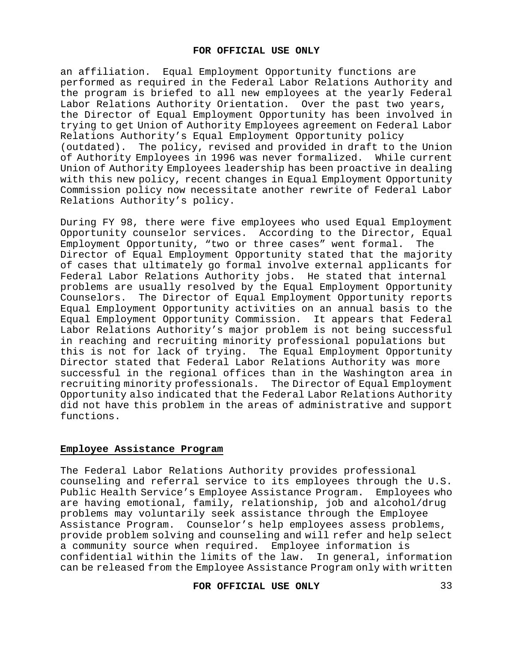an affiliation. Equal Employment Opportunity functions are performed as required in the Federal Labor Relations Authority and the program is briefed to all new employees at the yearly Federal Labor Relations Authority Orientation. Over the past two years, the Director of Equal Employment Opportunity has been involved in trying to get Union of Authority Employees agreement on Federal Labor Relations Authority's Equal Employment Opportunity policy (outdated). The policy, revised and provided in draft to the Union of Authority Employees in 1996 was never formalized. While current Union of Authority Employees leadership has been proactive in dealing with this new policy, recent changes in Equal Employment Opportunity Commission policy now necessitate another rewrite of Federal Labor Relations Authority's policy.

During FY 98, there were five employees who used Equal Employment Opportunity counselor services. According to the Director, Equal<br>Employment Opportunity, "two or three cases" went formal. The Employment Opportunity, "two or three cases" went formal. Director of Equal Employment Opportunity stated that the majority of cases that ultimately go formal involve external applicants for Federal Labor Relations Authority jobs. He stated that internal problems are usually resolved by the Equal Employment Opportunity Counselors. The Director of Equal Employment Opportunity reports Equal Employment Opportunity activities on an annual basis to the Equal Employment Opportunity Commission. It appears that Federal Labor Relations Authority's major problem is not being successful in reaching and recruiting minority professional populations but this is not for lack of trying. The Equal Employment Opportunity Director stated that Federal Labor Relations Authority was more successful in the regional offices than in the Washington area in recruiting minority professionals. The Director of Equal Employment Opportunity also indicated that the Federal Labor Relations Authority did not have this problem in the areas of administrative and support functions.

# **Employee Assistance Program**

The Federal Labor Relations Authority provides professional counseling and referral service to its employees through the U.S. Public Health Service's Employee Assistance Program. Employees who are having emotional, family, relationship, job and alcohol/drug problems may voluntarily seek assistance through the Employee Assistance Program. Counselor's help employees assess problems, provide problem solving and counseling and will refer and help select a community source when required. Employee information is confidential within the limits of the law. In general, information can be released from the Employee Assistance Program only with written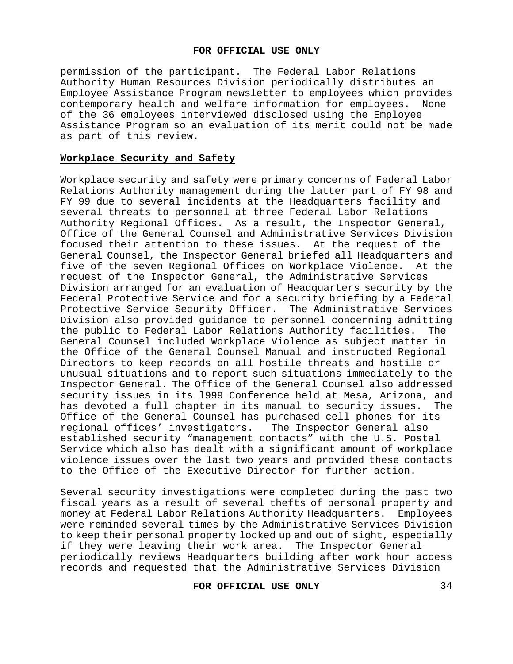permission of the participant. The Federal Labor Relations Authority Human Resources Division periodically distributes an Employee Assistance Program newsletter to employees which provides contemporary health and welfare information for employees. of the 36 employees interviewed disclosed using the Employee Assistance Program so an evaluation of its merit could not be made as part of this review.

#### **Workplace Security and Safety**

Workplace security and safety were primary concerns of Federal Labor Relations Authority management during the latter part of FY 98 and FY 99 due to several incidents at the Headquarters facility and several threats to personnel at three Federal Labor Relations Authority Regional Offices. As a result, the Inspector General, Office of the General Counsel and Administrative Services Division focused their attention to these issues. At the request of the General Counsel, the Inspector General briefed all Headquarters and<br>five of the seven Regional Offices on Workplace Violence. At the five of the seven Regional Offices on Workplace Violence. request of the Inspector General, the Administrative Services Division arranged for an evaluation of Headquarters security by the Federal Protective Service and for a security briefing by a Federal Protective Service Security Officer. The Administrative Services Division also provided guidance to personnel concerning admitting the public to Federal Labor Relations Authority facilities. General Counsel included Workplace Violence as subject matter in the Office of the General Counsel Manual and instructed Regional Directors to keep records on all hostile threats and hostile or unusual situations and to report such situations immediately to the Inspector General. The Office of the General Counsel also addressed security issues in its 1999 Conference held at Mesa, Arizona, and<br>has devoted a full chapter in its manual to security issues. The has devoted a full chapter in its manual to security issues. Office of the General Counsel has purchased cell phones for its<br>regional offices' investigators. The Inspector General also regional offices' investigators. established security "management contacts" with the U.S. Postal Service which also has dealt with a significant amount of workplace violence issues over the last two years and provided these contacts to the Office of the Executive Director for further action.

Several security investigations were completed during the past two fiscal years as a result of several thefts of personal property and money at Federal Labor Relations Authority Headquarters. Employees were reminded several times by the Administrative Services Division to keep their personal property locked up and out of sight, especially if they were leaving their work area. The Inspector General periodically reviews Headquarters building after work hour access records and requested that the Administrative Services Division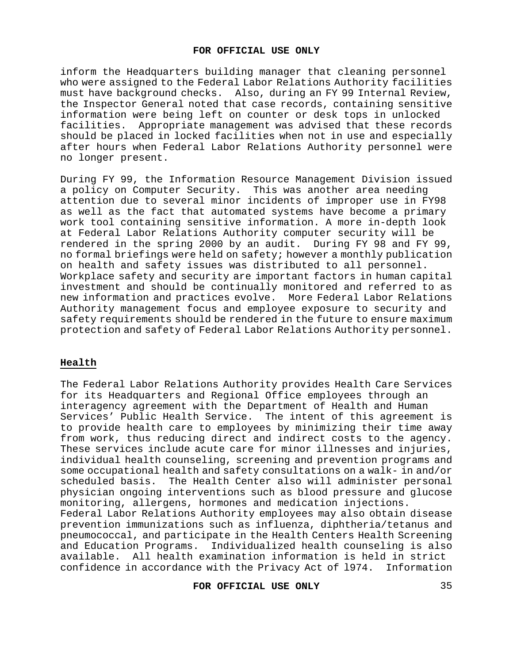inform the Headquarters building manager that cleaning personnel who were assigned to the Federal Labor Relations Authority facilities<br>must have background checks. Also, during an FY 99 Internal Review, Also, during an FY 99 Internal Review, the Inspector General noted that case records, containing sensitive information were being left on counter or desk tops in unlocked facilities. Appropriate management was advised that these records should be placed in locked facilities when not in use and especially after hours when Federal Labor Relations Authority personnel were no longer present.

During FY 99, the Information Resource Management Division issued a policy on Computer Security. This was another area needing attention due to several minor incidents of improper use in FY98 as well as the fact that automated systems have become a primary work tool containing sensitive information. A more in-depth look at Federal Labor Relations Authority computer security will be rendered in the spring 2000 by an audit. During FY 98 and FY 99, no formal briefings were held on safety; however a monthly publication on health and safety issues was distributed to all personnel. Workplace safety and security are important factors in human capital investment and should be continually monitored and referred to as new information and practices evolve. More Federal Labor Relations Authority management focus and employee exposure to security and safety requirements should be rendered in the future to ensure maximum protection and safety of Federal Labor Relations Authority personnel.

# **Health**

The Federal Labor Relations Authority provides Health Care Services for its Headquarters and Regional Office employees through an interagency agreement with the Department of Health and Human Services' Public Health Service. The intent of this agreement is to provide health care to employees by minimizing their time away from work, thus reducing direct and indirect costs to the agency. These services include acute care for minor illnesses and injuries, individual health counseling, screening and prevention programs and some occupational health and safety consultations on a walk- in and/or scheduled basis. The Health Center also will administer personal The Health Center also will administer personal physician ongoing interventions such as blood pressure and glucose monitoring, allergens, hormones and medication injections. Federal Labor Relations Authority employees may also obtain disease prevention immunizations such as influenza, diphtheria/tetanus and pneumococcal, and participate in the Health Centers Health Screening and Education Programs. Individualized health counseling is also available. All health examination information is held in strict confidence in accordance with the Privacy Act of l974. Information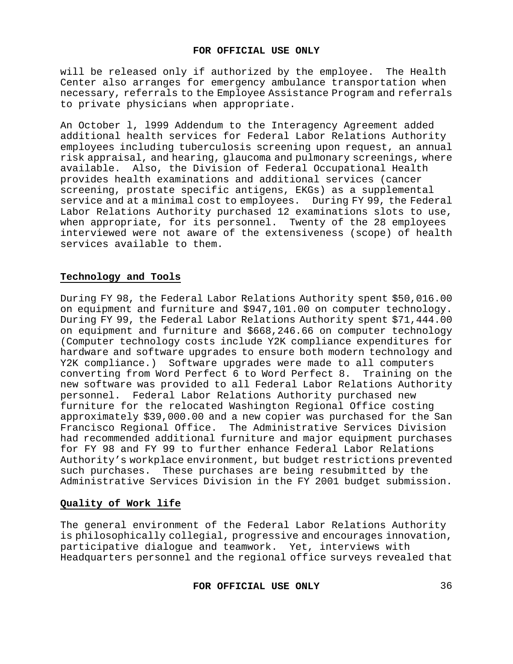will be released only if authorized by the employee. The Health Center also arranges for emergency ambulance transportation when necessary, referrals to the Employee Assistance Program and referrals to private physicians when appropriate.

An October l, l999 Addendum to the Interagency Agreement added additional health services for Federal Labor Relations Authority employees including tuberculosis screening upon request, an annual risk appraisal, and hearing, glaucoma and pulmonary screenings, where available. Also, the Division of Federal Occupational Health provides health examinations and additional services (cancer screening, prostate specific antigens, EKGs) as a supplemental service and at a minimal cost to employees. During FY 99, the Federal Labor Relations Authority purchased 12 examinations slots to use, when appropriate, for its personnel. Twenty of the 28 employees interviewed were not aware of the extensiveness (scope) of health services available to them.

# **Technology and Tools**

During FY 98, the Federal Labor Relations Authority spent \$50,016.00 on equipment and furniture and \$947,101.00 on computer technology. During FY 99, the Federal Labor Relations Authority spent \$71,444.00 on equipment and furniture and \$668,246.66 on computer technology (Computer technology costs include Y2K compliance expenditures for hardware and software upgrades to ensure both modern technology and Y2K compliance.) Software upgrades were made to all computers converting from Word Perfect 6 to Word Perfect 8. Training on the new software was provided to all Federal Labor Relations Authority personnel. Federal Labor Relations Authority purchased new furniture for the relocated Washington Regional Office costing approximately \$39,000.00 and a new copier was purchased for the San Francisco Regional Office. The Administrative Services Division had recommended additional furniture and major equipment purchases for FY 98 and FY 99 to further enhance Federal Labor Relations Authority's workplace environment, but budget restrictions prevented such purchases. These purchases are being resubmitted by the Administrative Services Division in the FY 2001 budget submission.

# **Quality of Work life**

The general environment of the Federal Labor Relations Authority is philosophically collegial, progressive and encourages innovation, participative dialogue and teamwork. Yet, interviews with Headquarters personnel and the regional office surveys revealed that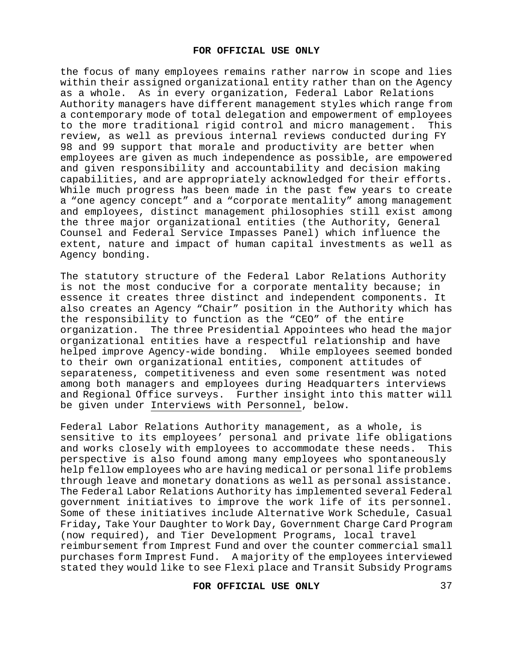the focus of many employees remains rather narrow in scope and lies within their assigned organizational entity rather than on the Agency as a whole. As in every organization, Federal Labor Relations Authority managers have different management styles which range from a contemporary mode of total delegation and empowerment of employees to the more traditional rigid control and micro management. This review, as well as previous internal reviews conducted during FY 98 and 99 support that morale and productivity are better when employees are given as much independence as possible, are empowered and given responsibility and accountability and decision making capabilities, and are appropriately acknowledged for their efforts. While much progress has been made in the past few years to create a "one agency concept" and a "corporate mentality" among management and employees, distinct management philosophies still exist among the three major organizational entities (the Authority, General Counsel and Federal Service Impasses Panel) which influence the extent, nature and impact of human capital investments as well as Agency bonding.

The statutory structure of the Federal Labor Relations Authority is not the most conducive for a corporate mentality because; in essence it creates three distinct and independent components. It also creates an Agency "Chair" position in the Authority which has the responsibility to function as the "CEO" of the entire organization. The three Presidential Appointees who head the major organizational entities have a respectful relationship and have helped improve Agency-wide bonding. While employees seemed bonded to their own organizational entities, component attitudes of separateness, competitiveness and even some resentment was noted among both managers and employees during Headquarters interviews and Regional Office surveys. Further insight into this matter will be given under Interviews with Personnel, below.

Federal Labor Relations Authority management, as a whole, is sensitive to its employees' personal and private life obligations and works closely with employees to accommodate these needs. This perspective is also found among many employees who spontaneously help fellow employees who are having medical or personal life problems through leave and monetary donations as well as personal assistance. The Federal Labor Relations Authority has implemented several Federal government initiatives to improve the work life of its personnel. Some of these initiatives include Alternative Work Schedule, Casual Friday**,** Take Your Daughter to Work Day, Government Charge Card Program (now required), and Tier Development Programs, local travel reimbursement from Imprest Fund and over the counter commercial small purchases form Imprest Fund. A majority of the employees interviewed stated they would like to see Flexi place and Transit Subsidy Programs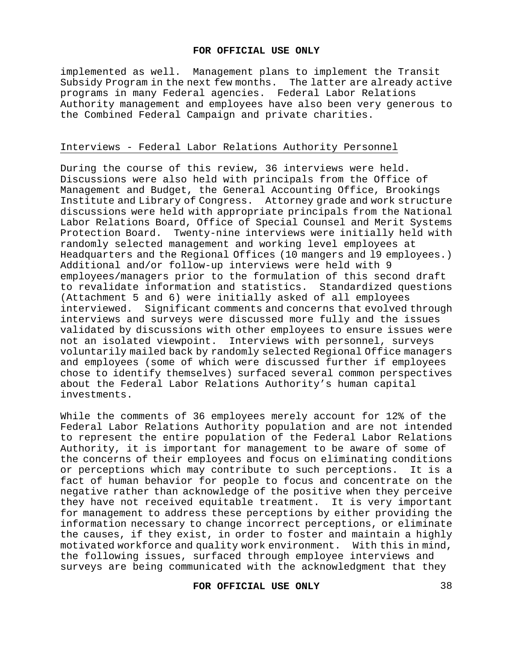implemented as well. Management plans to implement the Transit Subsidy Program in the next few months. The latter are already active programs in many Federal agencies.Federal Labor Relations Authority management and employees have also been very generous to the Combined Federal Campaign and private charities.

## Interviews - Federal Labor Relations Authority Personnel

During the course of this review, 36 interviews were held. Discussions were also held with principals from the Office of Management and Budget, the General Accounting Office, Brookings Institute and Library of Congress. Attorney grade and work structure discussions were held with appropriate principals from the National Labor Relations Board, Office of Special Counsel and Merit Systems Protection Board. Twenty-nine interviews were initially held with randomly selected management and working level employees at Headquarters and the Regional Offices (10 mangers and l9 employees.) Additional and/or follow-up interviews were held with 9 employees/managers prior to the formulation of this second draft to revalidate information and statistics.Standardized questions (Attachment 5 and 6) were initially asked of all employees interviewed. Significant comments and concerns that evolved through interviews and surveys were discussed more fully and the issues validated by discussions with other employees to ensure issues were not an isolated viewpoint. Interviews with personnel, surveys voluntarily mailed back by randomly selected Regional Office managers and employees (some of which were discussed further if employees chose to identify themselves) surfaced several common perspectives about the Federal Labor Relations Authority's human capital investments.

While the comments of 36 employees merely account for 12% of the Federal Labor Relations Authority population and are not intended to represent the entire population of the Federal Labor Relations Authority, it is important for management to be aware of some of the concerns of their employees and focus on eliminating conditions<br>or perceptions which may contribute to such perceptions. It is a or perceptions which may contribute to such perceptions. fact of human behavior for people to focus and concentrate on the negative rather than acknowledge of the positive when they perceive they have not received equitable treatment. It is very important for management to address these perceptions by either providing the information necessary to change incorrect perceptions, or eliminate the causes, if they exist, in order to foster and maintain a highly motivated workforce and quality work environment. With this in mind, the following issues, surfaced through employee interviews and surveys are being communicated with the acknowledgment that they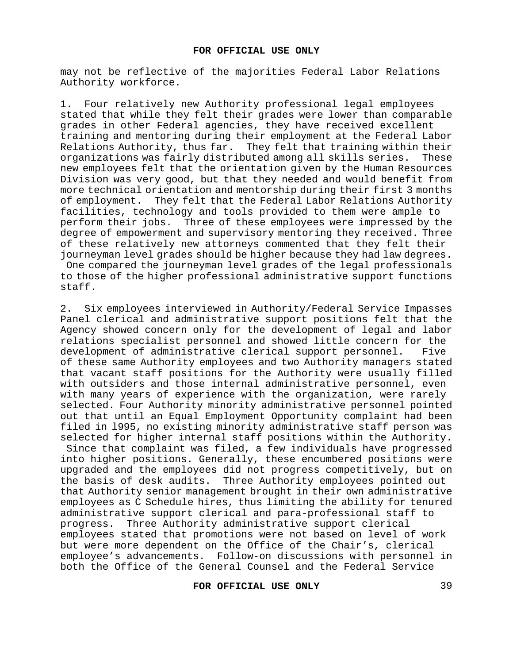may not be reflective of the majorities Federal Labor Relations Authority workforce.

1. Four relatively new Authority professional legal employees stated that while they felt their grades were lower than comparable grades in other Federal agencies, they have received excellent training and mentoring during their employment at the Federal Labor Relations Authority, thus far. They felt that training within their<br>organizations was fairly distributed among all skills series. These organizations was fairly distributed among all skills series. new employees felt that the orientation given by the Human Resources Division was very good, but that they needed and would benefit from more technical orientation and mentorship during their first 3 months of employment. They felt that the Federal Labor Relations Authority facilities, technology and tools provided to them were ample to perform their jobs. Three of these employees were impressed by the degree of empowerment and supervisory mentoring they received. Three of these relatively new attorneys commented that they felt their journeyman level grades should be higher because they had law degrees. One compared the journeyman level grades of the legal professionals to those of the higher professional administrative support functions staff.

2.Six employees interviewed in Authority/Federal Service Impasses Panel clerical and administrative support positions felt that the Agency showed concern only for the development of legal and labor relations specialist personnel and showed little concern for the<br>development of administrative clerical support personnel. Five development of administrative clerical support personnel. of these same Authority employees and two Authority managers stated that vacant staff positions for the Authority were usually filled with outsiders and those internal administrative personnel, even with many years of experience with the organization, were rarely selected. Four Authority minority administrative personnel pointed out that until an Equal Employment Opportunity complaint had been filed in l995, no existing minority administrative staff person was selected for higher internal staff positions within the Authority. Since that complaint was filed, a few individuals have progressed into higher positions. Generally, these encumbered positions were upgraded and the employees did not progress competitively, but on the basis of desk audits. Three Authority employees pointed out that Authority senior management brought in their own administrative employees as C Schedule hires, thus limiting the ability for tenured administrative support clerical and para-professional staff to progress. Three Authority administrative support clerical employees stated that promotions were not based on level of work but were more dependent on the Office of the Chair's, clerical employee's advancements. Follow-on discussions with personnel in both the Office of the General Counsel and the Federal Service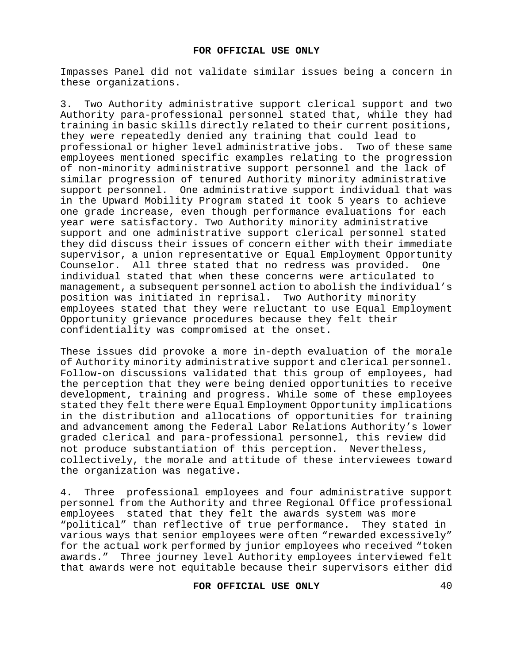Impasses Panel did not validate similar issues being a concern in these organizations.

3. Two Authority administrative support clerical support and two Authority para-professional personnel stated that, while they had training in basic skills directly related to their current positions, they were repeatedly denied any training that could lead to professional or higher level administrative jobs. Two of these same employees mentioned specific examples relating to the progression of non-minority administrative support personnel and the lack of similar progression of tenured Authority minority administrative support personnel. One administrative support individual that was in the Upward Mobility Program stated it took 5 years to achieve one grade increase, even though performance evaluations for each year were satisfactory. Two Authority minority administrative support and one administrative support clerical personnel stated they did discuss their issues of concern either with their immediate supervisor, a union representative or Equal Employment Opportunity<br>Counselor. All three stated that no redress was provided. One Counselor. All three stated that no redress was provided. individual stated that when these concerns were articulated to management, a subsequent personnel action to abolish the individual's position was initiated in reprisal. Two Authority minority employees stated that they were reluctant to use Equal Employment Opportunity grievance procedures because they felt their confidentiality was compromised at the onset.

These issues did provoke a more in-depth evaluation of the morale of Authority minority administrative support and clerical personnel. Follow-on discussions validated that this group of employees, had the perception that they were being denied opportunities to receive development, training and progress. While some of these employees stated they felt there were Equal Employment Opportunity implications in the distribution and allocations of opportunities for training and advancement among the Federal Labor Relations Authority's lower graded clerical and para-professional personnel, this review did not produce substantiation of this perception**.** Nevertheless, collectively, the morale and attitude of these interviewees toward the organization was negative.

4. Three professional employees and four administrative support personnel from the Authority and three Regional Office professional employees stated that they felt the awards system was more "political" than reflective of true performance. They stated in various ways that senior employees were often "rewarded excessively" for the actual work performed by junior employees who received "token awards."Three journey level Authority employees interviewed felt that awards were not equitable because their supervisors either did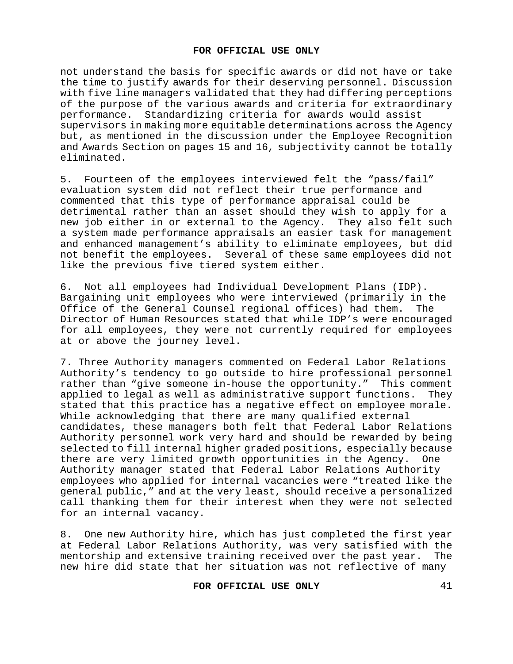not understand the basis for specific awards or did not have or take the time to justify awards for their deserving personnel. Discussion with five line managers validated that they had differing perceptions of the purpose of the various awards and criteria for extraordinary<br>performance. Standardizing criteria for awards would assist Standardizing criteria for awards would assist supervisors in making more equitable determinations across the Agency but, as mentioned in the discussion under the Employee Recognition and Awards Section on pages 15 and 16, subjectivity cannot be totally eliminated.

5. Fourteen of the employees interviewed felt the "pass/fail" evaluation system did not reflect their true performance and commented that this type of performance appraisal could be detrimental rather than an asset should they wish to apply for a new job either in or external to the Agency. They also felt such a system made performance appraisals an easier task for management and enhanced management's ability to eliminate employees, but did not benefit the employees. Several of these same employees did not like the previous five tiered system either.

6. Not all employees had Individual Development Plans (IDP). Bargaining unit employees who were interviewed (primarily in the Office of the General Counsel regional offices) had them. The Director of Human Resources stated that while IDP's were encouraged for all employees, they were not currently required for employees at or above the journey level.

7. Three Authority managers commented on Federal Labor Relations Authority's tendency to go outside to hire professional personnel rather than "give someone in-house the opportunity." This comment applied to legal as well as administrative support functions. They stated that this practice has a negative effect on employee morale. While acknowledging that there are many qualified external candidates, these managers both felt that Federal Labor Relations Authority personnel work very hard and should be rewarded by being selected to fill internal higher graded positions, especially because there are very limited growth opportunities in the Agency. One Authority manager stated that Federal Labor Relations Authority employees who applied for internal vacancies were "treated like the general public," and at the very least, should receive a personalized call thanking them for their interest when they were not selected for an internal vacancy.

8. One new Authority hire, which has just completed the first year at Federal Labor Relations Authority, was very satisfied with the mentorship and extensive training received over the past year. The new hire did state that her situation was not reflective of many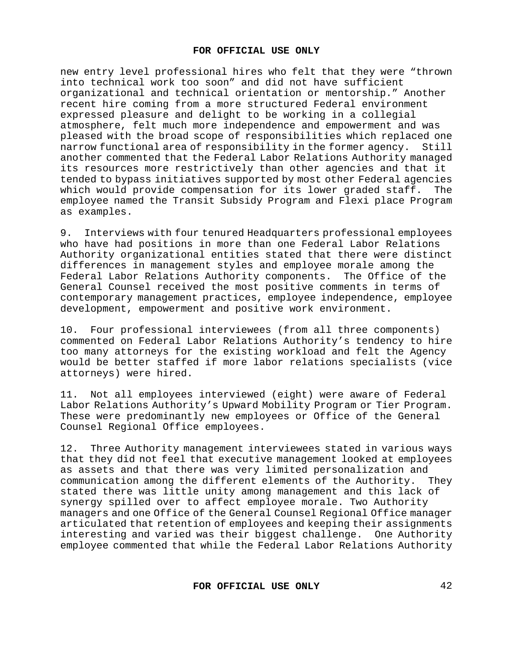new entry level professional hires who felt that they were "thrown into technical work too soon" and did not have sufficient organizational and technical orientation or mentorship." Another recent hire coming from a more structured Federal environment expressed pleasure and delight to be working in a collegial atmosphere, felt much more independence and empowerment and was pleased with the broad scope of responsibilities which replaced one<br>narrow functional area of responsibility in the former agency. Still narrow functional area of responsibility in the former agency. another commented that the Federal Labor Relations Authority managed its resources more restrictively than other agencies and that it tended to bypass initiatives supported by most other Federal agencies<br>which would provide compensation for its lower graded staff. The which would provide compensation for its lower graded staff. employee named the Transit Subsidy Program and Flexi place Program as examples.

9. Interviews with four tenured Headquarters professional employees who have had positions in more than one Federal Labor Relations Authority organizational entities stated that there were distinct differences in management styles and employee morale among the Federal Labor Relations Authority components. The Office of the General Counsel received the most positive comments in terms of contemporary management practices, employee independence, employee development, empowerment and positive work environment.

10. Four professional interviewees (from all three components) commented on Federal Labor Relations Authority's tendency to hire too many attorneys for the existing workload and felt the Agency would be better staffed if more labor relations specialists (vice attorneys) were hired.

11. Not all employees interviewed (eight) were aware of Federal Labor Relations Authority's Upward Mobility Program or Tier Program. These were predominantly new employees or Office of the General Counsel Regional Office employees.

12. Three Authority management interviewees stated in various ways that they did not feel that executive management looked at employees as assets and that there was very limited personalization and communication among the different elements of the Authority. They stated there was little unity among management and this lack of synergy spilled over to affect employee morale. Two Authority managers and one Office of the General Counsel Regional Office manager articulated that retention of employees and keeping their assignments interesting and varied was their biggest challenge. One Authority employee commented that while the Federal Labor Relations Authority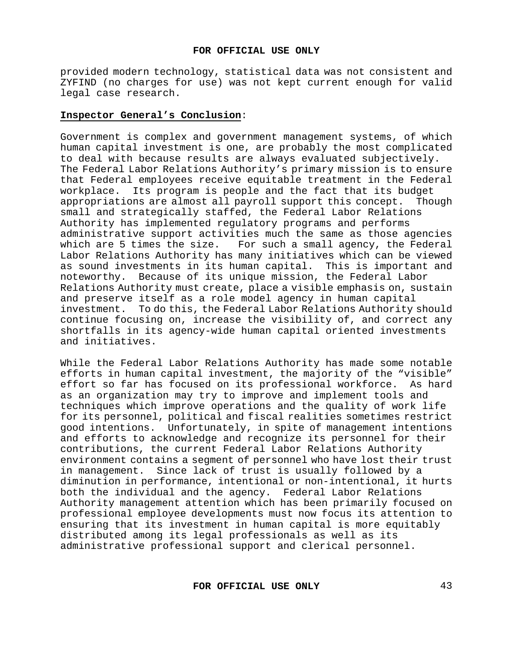provided modern technology, statistical data was not consistent and ZYFIND (no charges for use) was not kept current enough for valid legal case research.

#### **Inspector General's Conclusion**:

Government is complex and government management systems, of which human capital investment is one, are probably the most complicated to deal with because results are always evaluated subjectively. The Federal Labor Relations Authority's primary mission is to ensure that Federal employees receive equitable treatment in the Federal workplace. Its program is people and the fact that its budget<br>appropriations are almost all payroll support this concept. Though appropriations are almost all payroll support this concept. small and strategically staffed, the Federal Labor Relations Authority has implemented regulatory programs and performs administrative support activities much the same as those agencies which are 5 times the size. For such a small agency, the Federal Labor Relations Authority has many initiatives which can be viewed as sound investments in its human capital. This is important and noteworthy. Because of its unique mission, the Federal Labor Relations Authority must create, place a visible emphasis on, sustain and preserve itself as a role model agency in human capital investment. To do this, the Federal Labor Relations Authority should continue focusing on, increase the visibility of, and correct any shortfalls in its agency-wide human capital oriented investments and initiatives.

While the Federal Labor Relations Authority has made some notable efforts in human capital investment, the majority of the "visible" effort so far has focused on its professional workforce. As hard as an organization may try to improve and implement tools and techniques which improve operations and the quality of work life for its personnel, political and fiscal realities sometimes restrict good intentions. Unfortunately, in spite of management intentions and efforts to acknowledge and recognize its personnel for their contributions, the current Federal Labor Relations Authority environment contains a segment of personnel who have lost their trust<br>in management. Since lack of trust is usually followed by a Since lack of trust is usually followed by a diminution in performance, intentional or non-intentional, it hurts both the individual and the agency. Federal Labor Relations Authority management attention which has been primarily focused on professional employee developments must now focus its attention to ensuring that its investment in human capital is more equitably distributed among its legal professionals as well as its administrative professional support and clerical personnel.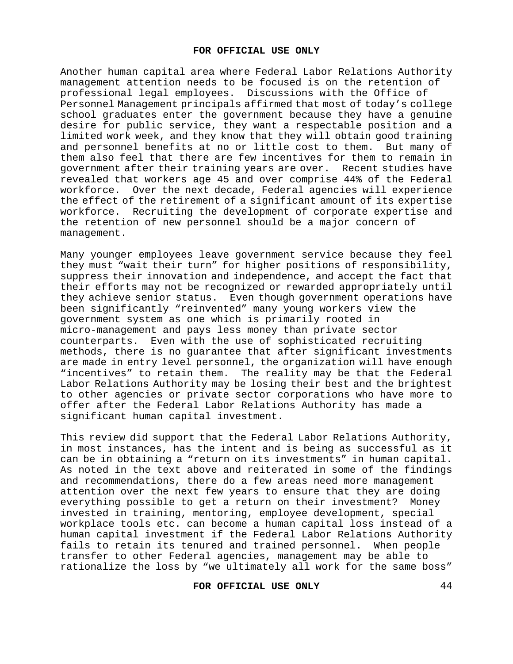Another human capital area where Federal Labor Relations Authority management attention needs to be focused is on the retention of professional legal employees. Discussions with the Office of Personnel Management principals affirmed that most of today's college school graduates enter the government because they have a genuine desire for public service, they want a respectable position and a limited work week, and they know that they will obtain good training and personnel benefits at no or little cost to them. But many of them also feel that there are few incentives for them to remain in government after their training years are over.Recent studies have revealed that workers age 45 and over comprise 44% of the Federal workforce. Over the next decade, Federal agencies will experience the effect of the retirement of a significant amount of its expertise workforce. Recruiting the development of corporate expertise and the retention of new personnel should be a major concern of management.

Many younger employees leave government service because they feel they must "wait their turn" for higher positions of responsibility, suppress their innovation and independence, and accept the fact that their efforts may not be recognized or rewarded appropriately until they achieve senior status. Even though government operations have been significantly "reinvented" many young workers view the government system as one which is primarily rooted in micro-management and pays less money than private sector counterparts. Even with the use of sophisticated recruiting methods, there is no guarantee that after significant investments are made in entry level personnel, the organization will have enough "incentives" to retain them. The reality may be that the Federal Labor Relations Authority may be losing their best and the brightest to other agencies or private sector corporations who have more to offer after the Federal Labor Relations Authority has made a significant human capital investment.

This review did support that the Federal Labor Relations Authority, in most instances, has the intent and is being as successful as it can be in obtaining a "return on its investments" in human capital. As noted in the text above and reiterated in some of the findings and recommendations, there do a few areas need more management attention over the next few years to ensure that they are doing everything possible to get a return on their investment? Money invested in training, mentoring, employee development, special workplace tools etc. can become a human capital loss instead of a human capital investment if the Federal Labor Relations Authority fails to retain its tenured and trained personnel. When people transfer to other Federal agencies, management may be able to rationalize the loss by "we ultimately all work for the same boss"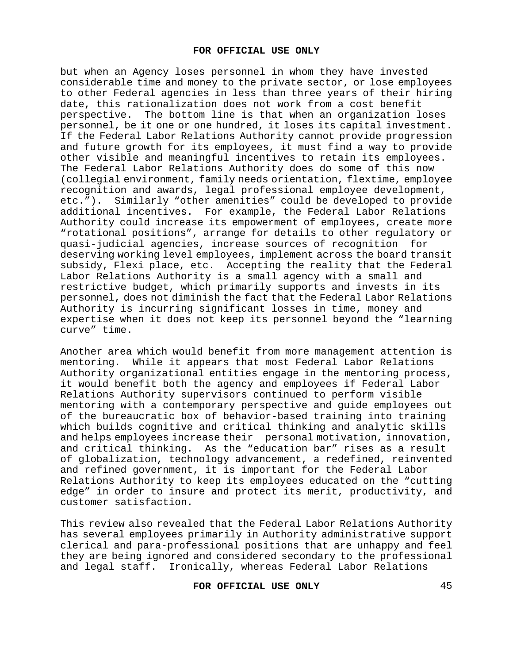but when an Agency loses personnel in whom they have invested considerable time and money to the private sector, or lose employees to other Federal agencies in less than three years of their hiring date, this rationalization does not work from a cost benefit<br>perspective. The bottom line is that when an organization l The bottom line is that when an organization loses personnel, be it one or one hundred, it loses its capital investment. If the Federal Labor Relations Authority cannot provide progression and future growth for its employees, it must find a way to provide other visible and meaningful incentives to retain its employees. The Federal Labor Relations Authority does do some of this now (collegial environment, family needs orientation, flextime, employee recognition and awards, legal professional employee development, etc."). Similarly "other amenities" could be developed to provide additional incentives.For example, the Federal Labor Relations Authority could increase its empowerment of employees, create more "rotational positions", arrange for details to other regulatory or quasi-judicial agencies, increase sources of recognition for deserving working level employees, implement across the board transit subsidy, Flexi place, etc. Accepting the reality that the Federal Labor Relations Authority is a small agency with a small and restrictive budget, which primarily supports and invests in its personnel, does not diminish the fact that the Federal Labor Relations Authority is incurring significant losses in time, money and expertise when it does not keep its personnel beyond the "learning curve" time.

Another area which would benefit from more management attention is mentoring. While it appears that most Federal Labor Relations Authority organizational entities engage in the mentoring process, it would benefit both the agency and employees if Federal Labor Relations Authority supervisors continued to perform visible mentoring with a contemporary perspective and guide employees out of the bureaucratic box of behavior-based training into training which builds cognitive and critical thinking and analytic skills and helps employees increase their personal motivation, innovation, and critical thinking. As the "education bar" rises as a result of globalization, technology advancement, a redefined, reinvented and refined government, it is important for the Federal Labor Relations Authority to keep its employees educated on the "cutting edge" in order to insure and protect its merit, productivity, and customer satisfaction.

This review also revealed that the Federal Labor Relations Authority has several employees primarily in Authority administrative support clerical and para-professional positions that are unhappy and feel they are being ignored and considered secondary to the professional and legal staff. Ironically, whereas Federal Labor Relations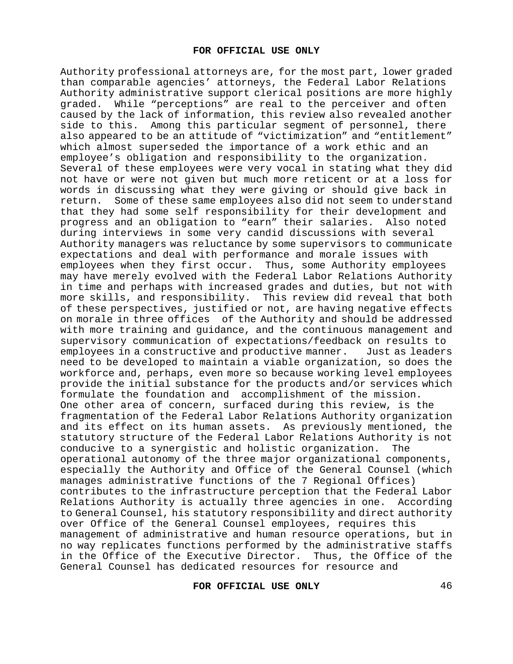Authority professional attorneys are, for the most part, lower graded than comparable agencies' attorneys, the Federal Labor Relations Authority administrative support clerical positions are more highly graded. While "perceptions" are real to the perceiver and often caused by the lack of information, this review also revealed another side to this. Among this particular segment of personnel, there also appeared to be an attitude of "victimization" and "entitlement" which almost superseded the importance of a work ethic and an employee's obligation and responsibility to the organization. Several of these employees were very vocal in stating what they did not have or were not given but much more reticent or at a loss for words in discussing what they were giving or should give back in<br>return. Some of these same emplovees also did not seem to understand Some of these same employees also did not seem to understand that they had some self responsibility for their development and progress and an obligation to "earn" their salaries. Also noted during interviews in some very candid discussions with several Authority managers was reluctance by some supervisors to communicate expectations and deal with performance and morale issues with employees when they first occur. Thus, some Authority employees may have merely evolved with the Federal Labor Relations Authority in time and perhaps with increased grades and duties, but not with more skills, and responsibility. This review did reveal that both of these perspectives, justified or not, are having negative effects on morale in three offices of the Authority and should be addressed with more training and guidance, and the continuous management and supervisory communication of expectations/feedback on results to<br>employees in a constructive and productive manner. Just as leaders employees in a constructive and productive manner. need to be developed to maintain a viable organization, so does the workforce and, perhaps, even more so because working level employees provide the initial substance for the products and/or services which formulate the foundation and accomplishment of the mission. One other area of concern, surfaced during this review, is the fragmentation of the Federal Labor Relations Authority organization and its effect on its human assets. As previously mentioned, the statutory structure of the Federal Labor Relations Authority is not<br>conducive to a synergistic and holistic organization. The conducive to a synergistic and holistic organization. operational autonomy of the three major organizational components, especially the Authority and Office of the General Counsel (which manages administrative functions of the 7 Regional Offices) contributes to the infrastructure perception that the Federal Labor Relations Authority is actually three agencies in one. According to General Counsel, his statutory responsibility and direct authority over Office of the General Counsel employees, requires this management of administrative and human resource operations, but in no way replicates functions performed by the administrative staffs in the Office of the Executive Director. Thus, the Office of the General Counsel has dedicated resources for resource and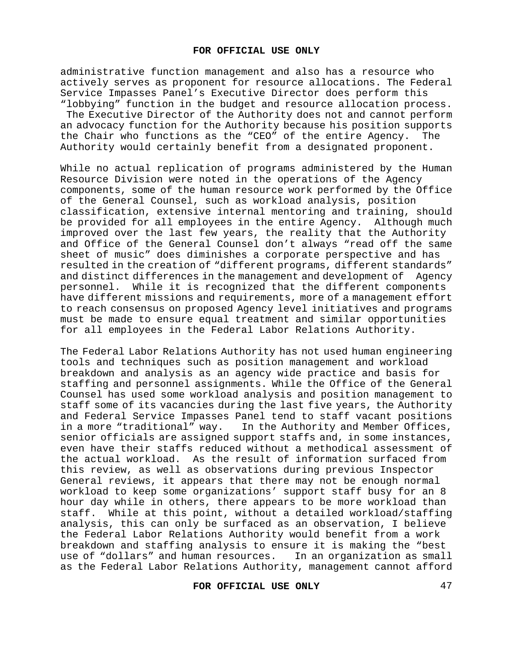administrative function management and also has a resource who actively serves as proponent for resource allocations. The Federal Service Impasses Panel's Executive Director does perform this "lobbying" function in the budget and resource allocation process.

The Executive Director of the Authority does not and cannot perform an advocacy function for the Authority because his position supports<br>the Chair who functions as the "CEO" of the entire Agency. The the Chair who functions as the "CEO" of the entire Agency. Authority would certainly benefit from a designated proponent.

While no actual replication of programs administered by the Human Resource Division were noted in the operations of the Agency components, some of the human resource work performed by the Office of the General Counsel, such as workload analysis, position classification, extensive internal mentoring and training, should be provided for all employees in the entire Agency. Although much improved over the last few years, the reality that the Authority and Office of the General Counsel don't always "read off the same sheet of music" does diminishes a corporate perspective and has resulted in the creation of "different programs, different standards"<br>and distinct differences in the management and development of Agency and distinct differences in the management and development of personnel. While it is recognized that the different components have different missions and requirements, more of a management effort to reach consensus on proposed Agency level initiatives and programs must be made to ensure equal treatment and similar opportunities for all employees in the Federal Labor Relations Authority.

The Federal Labor Relations Authority has not used human engineering tools and techniques such as position management and workload breakdown and analysis as an agency wide practice and basis for staffing and personnel assignments. While the Office of the General Counsel has used some workload analysis and position management to staff some of its vacancies during the last five years, the Authority and Federal Service Impasses Panel tend to staff vacant positions in a more "traditional" way. In the Authority and Member Offices, senior officials are assigned support staffs and, in some instances, even have their staffs reduced without a methodical assessment of the actual workload. As the result of information surfaced from this review, as well as observations during previous Inspector General reviews, it appears that there may not be enough normal workload to keep some organizations' support staff busy for an 8 hour day while in others, there appears to be more workload than<br>staff. While at this point, without a detailed workload/staffing While at this point, without a detailed workload/staffing analysis, this can only be surfaced as an observation, I believe the Federal Labor Relations Authority would benefit from a work breakdown and staffing analysis to ensure it is making the "best use of "dollars" and human resources.In an organization as small as the Federal Labor Relations Authority, management cannot afford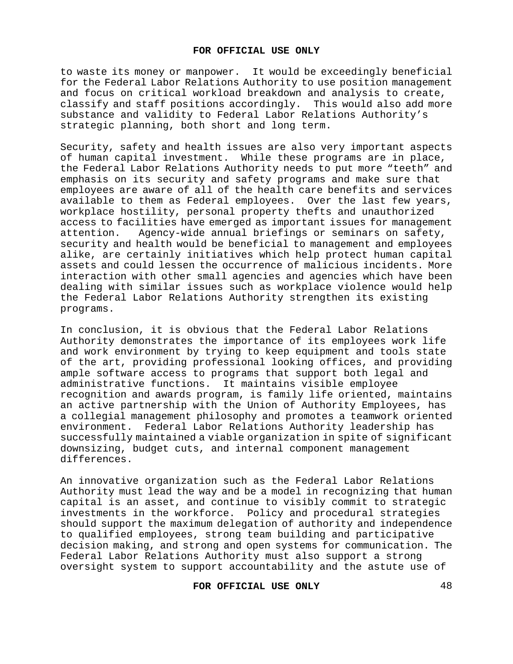to waste its money or manpower. It would be exceedingly beneficial for the Federal Labor Relations Authority to use position management and focus on critical workload breakdown and analysis to create, classify and staff positions accordingly. This would also add more substance and validity to Federal Labor Relations Authority's strategic planning, both short and long term.

Security, safety and health issues are also very important aspects of human capital investment. While these programs are in place, the Federal Labor Relations Authority needs to put more "teeth" and emphasis on its security and safety programs and make sure that employees are aware of all of the health care benefits and services available to them as Federal employees. Over the last few years, workplace hostility, personal property thefts and unauthorized access to facilities have emerged as important issues for management<br>attention. Agency-wide annual briefings or seminars on safety, Agency-wide annual briefings or seminars on safety, security and health would be beneficial to management and employees alike, are certainly initiatives which help protect human capital assets and could lessen the occurrence of malicious incidents. More interaction with other small agencies and agencies which have been dealing with similar issues such as workplace violence would help the Federal Labor Relations Authority strengthen its existing programs.

In conclusion, it is obvious that the Federal Labor Relations Authority demonstrates the importance of its employees work life and work environment by trying to keep equipment and tools state of the art, providing professional looking offices, and providing ample software access to programs that support both legal and administrative functions. It maintains visible employee recognition and awards program, is family life oriented, maintains an active partnership with the Union of Authority Employees, has a collegial management philosophy and promotes a teamwork oriented environment. Federal Labor Relations Authority leadership has successfully maintained a viable organization in spite of significant downsizing, budget cuts, and internal component management differences.

An innovative organization such as the Federal Labor Relations Authority must lead the way and be a model in recognizing that human capital is an asset, and continue to visibly commit to strategic investments in the workforce. Policy and procedural strategies should support the maximum delegation of authority and independence to qualified employees, strong team building and participative decision making, and strong and open systems for communication. The Federal Labor Relations Authority must also support a strong oversight system to support accountability and the astute use of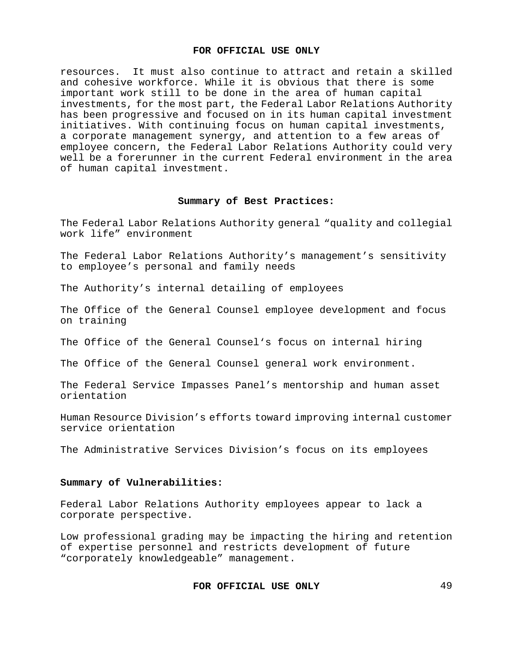resources. It must also continue to attract and retain a skilled and cohesive workforce. While it is obvious that there is some important work still to be done in the area of human capital investments, for the most part, the Federal Labor Relations Authority has been progressive and focused on in its human capital investment initiatives. With continuing focus on human capital investments, a corporate management synergy, and attention to a few areas of employee concern, the Federal Labor Relations Authority could very well be a forerunner in the current Federal environment in the area of human capital investment.

#### **Summary of Best Practices:**

The Federal Labor Relations Authority general "quality and collegial work life" environment

The Federal Labor Relations Authority's management's sensitivity to employee's personal and family needs

The Authority's internal detailing of employees

The Office of the General Counsel employee development and focus on training

The Office of the General Counsel's focus on internal hiring

The Office of the General Counsel general work environment.

The Federal Service Impasses Panel's mentorship and human asset orientation

Human Resource Division's efforts toward improving internal customer service orientation

The Administrative Services Division's focus on its employees

#### **Summary of Vulnerabilities:**

Federal Labor Relations Authority employees appear to lack a corporate perspective.

Low professional grading may be impacting the hiring and retention of expertise personnel and restricts development of future "corporately knowledgeable" management.

```
FOR OFFICIAL USE ONLY 49
```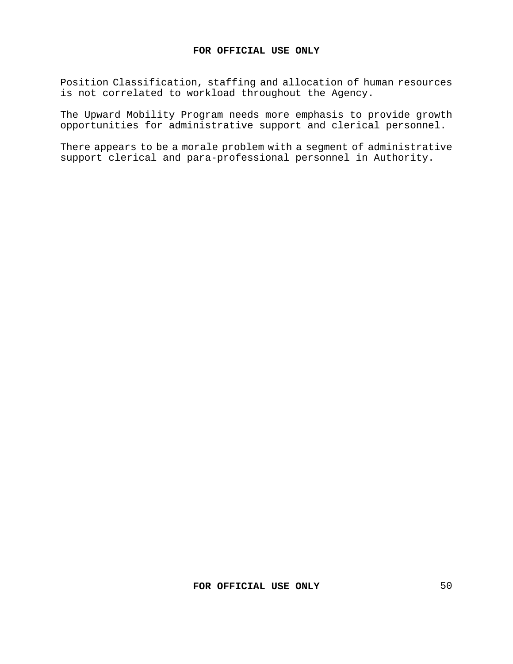Position Classification, staffing and allocation of human resources is not correlated to workload throughout the Agency.

The Upward Mobility Program needs more emphasis to provide growth opportunities for administrative support and clerical personnel.

There appears to be a morale problem with a segment of administrative support clerical and para-professional personnel in Authority.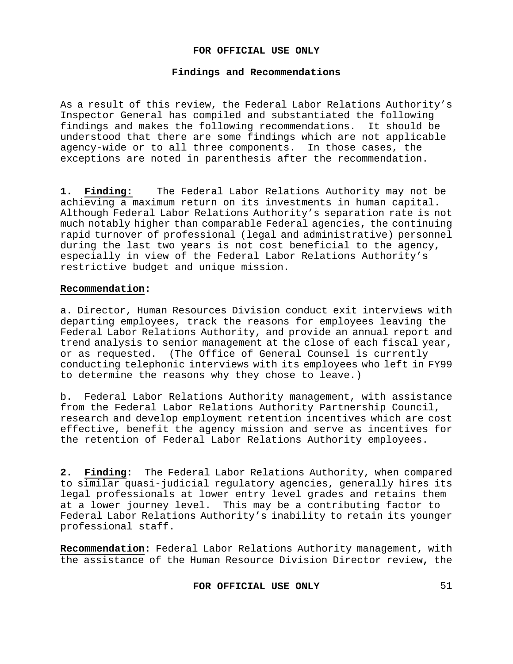## **Findings and Recommendations**

As a result of this review, the Federal Labor Relations Authority's Inspector General has compiled and substantiated the following findings and makes the following recommendations. It should be understood that there are some findings which are not applicable agency-wide or to all three components. In those cases, the exceptions are noted in parenthesis after the recommendation.

**1. Finding:** The Federal Labor Relations Authority may not be achieving a maximum return on its investments in human capital. Although Federal Labor Relations Authority's separation rate is not much notably higher than comparable Federal agencies, the continuing rapid turnover of professional (legal and administrative) personnel during the last two years is not cost beneficial to the agency, especially in view of the Federal Labor Relations Authority's restrictive budget and unique mission.

## **Recommendation:**

a. Director, Human Resources Division conduct exit interviews with departing employees, track the reasons for employees leaving the Federal Labor Relations Authority, and provide an annual report and trend analysis to senior management at the close of each fiscal year, or as requested. (The Office of General Counsel is currently conducting telephonic interviews with its employees who left in FY99 to determine the reasons why they chose to leave.)

b. Federal Labor Relations Authority management, with assistance from the Federal Labor Relations Authority Partnership Council, research and develop employment retention incentives which are cost effective, benefit the agency mission and serve as incentives for the retention of Federal Labor Relations Authority employees.

**2. Finding**: The Federal Labor Relations Authority, when compared to similar quasi-judicial regulatory agencies, generally hires its legal professionals at lower entry level grades and retains them at a lower journey level. This may be a contributing factor to Federal Labor Relations Authority's inability to retain its younger professional staff.

**Recommendation**: Federal Labor Relations Authority management, with the assistance of the Human Resource Division Director review**,** the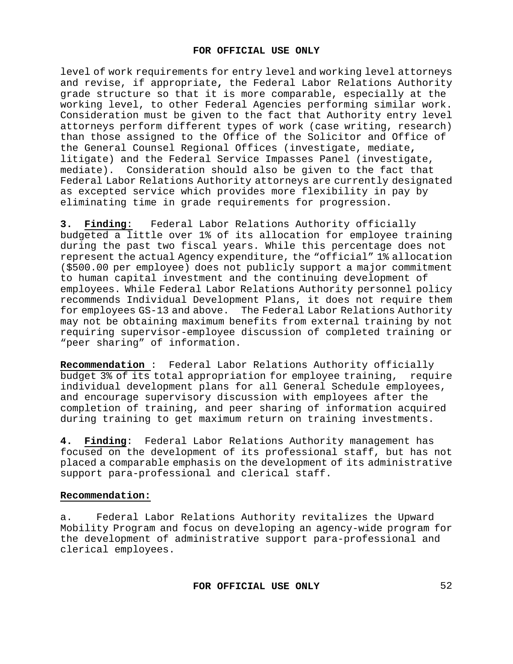level of work requirements for entry level and working level attorneys and revise, if appropriate**,** the Federal Labor Relations Authority grade structure so that it is more comparable, especially at the working level, to other Federal Agencies performing similar work. Consideration must be given to the fact that Authority entry level attorneys perform different types of work (case writing, research) than those assigned to the Office of the Solicitor and Office of the General Counsel Regional Offices (investigate, mediate**,** litigate) and the Federal Service Impasses Panel (investigate, mediate). Consideration should also be given to the fact that Federal Labor Relations Authority attorneys are currently designated as excepted service which provides more flexibility in pay by eliminating time in grade requirements for progression.

**3. Finding**: Federal Labor Relations Authority officially budgeted a little over 1% of its allocation for employee training during the past two fiscal years. While this percentage does not represent the actual Agency expenditure, the "official" 1% allocation (\$500.00 per employee) does not publicly support a major commitment to human capital investment and the continuing development of employees. While Federal Labor Relations Authority personnel policy recommends Individual Development Plans, it does not require them for employees GS-13 and above. The Federal Labor Relations Authority may not be obtaining maximum benefits from external training by not requiring supervisor-employee discussion of completed training or "peer sharing" of information.

**Recommendation** : Federal Labor Relations Authority officially budget 3% of its total appropriation for employee training, require individual development plans for all General Schedule employees, and encourage supervisory discussion with employees after the completion of training, and peer sharing of information acquired during training to get maximum return on training investments.

**4. Finding**: Federal Labor Relations Authority management has focused on the development of its professional staff, but has not placed a comparable emphasis on the development of its administrative support para-professional and clerical staff.

## **Recommendation:**

a. Federal Labor Relations Authority revitalizes the Upward Mobility Program and focus on developing an agency-wide program for the development of administrative support para-professional and clerical employees.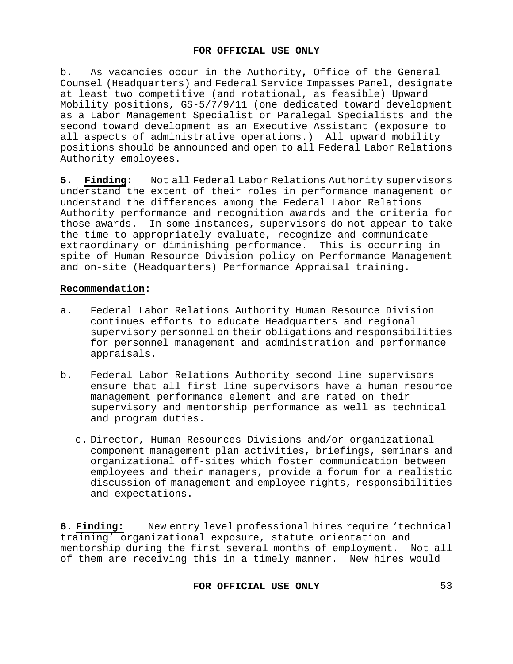b. As vacancies occur in the Authority**,** Office of the General Counsel (Headquarters) and Federal Service Impasses Panel, designate at least two competitive (and rotational, as feasible) Upward Mobility positions, GS-5/7/9/11 (one dedicated toward development as a Labor Management Specialist or Paralegal Specialists and the second toward development as an Executive Assistant (exposure to all aspects of administrative operations.) All upward mobility positions should be announced and open to all Federal Labor Relations Authority employees.

**5. Finding:** Not all Federal Labor Relations Authority supervisors understand the extent of their roles in performance management or understand the differences among the Federal Labor Relations Authority performance and recognition awards and the criteria for those awards. In some instances, supervisors do not appear to take the time to appropriately evaluate, recognize and communicate extraordinary or diminishing performance. This is occurring in spite of Human Resource Division policy on Performance Management and on-site (Headquarters) Performance Appraisal training.

## **Recommendation:**

- a. Federal Labor Relations Authority Human Resource Division continues efforts to educate Headquarters and regional supervisory personnel on their obligations and responsibilities for personnel management and administration and performance appraisals.
- b. Federal Labor Relations Authority second line supervisors ensure that all first line supervisors have a human resource management performance element and are rated on their supervisory and mentorship performance as well as technical and program duties.
	- c. Director, Human Resources Divisions and/or organizational component management plan activities, briefings, seminars and organizational off-sites which foster communication between employees and their managers, provide a forum for a realistic discussion of management and employee rights, responsibilities and expectations.

**6. Finding:** New entry level professional hires require 'technical training' organizational exposure, statute orientation and mentorship during the first several months of employment. Not all of them are receiving this in a timely manner. New hires would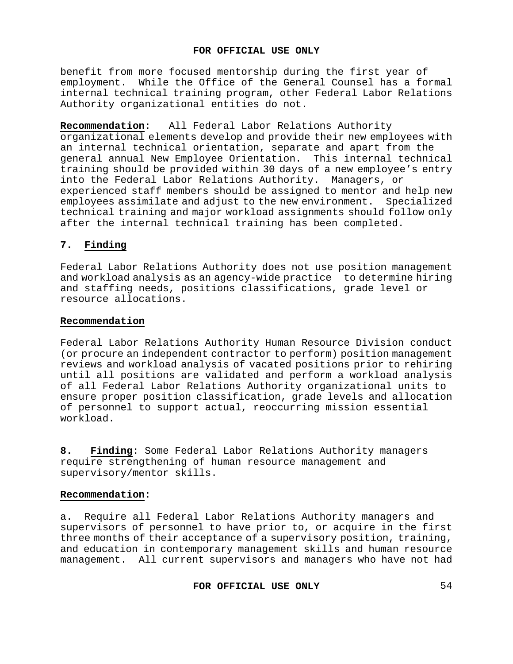benefit from more focused mentorship during the first year of employment. While the Office of the General Counsel has a formal internal technical training program, other Federal Labor Relations Authority organizational entities do not.

**Recommendation**: All Federal Labor Relations Authority organizational elements develop and provide their new employees with an internal technical orientation, separate and apart from the general annual New Employee Orientation. This internal technical training should be provided within 30 days of a new employee's entry into the Federal Labor Relations Authority. Managers, or experienced staff members should be assigned to mentor and help new employees assimilate and adjust to the new environment. Specialized technical training and major workload assignments should follow only after the internal technical training has been completed.

# **7. Finding**

Federal Labor Relations Authority does not use position management and workload analysis as an agency-wide practiceto determine hiring and staffing needs, positions classifications, grade level or resource allocations.

## **Recommendation**

Federal Labor Relations Authority Human Resource Division conduct (or procure an independent contractor to perform) position management reviews and workload analysis of vacated positions prior to rehiring until all positions are validated and perform a workload analysis of all Federal Labor Relations Authority organizational units to ensure proper position classification, grade levels and allocation of personnel to support actual, reoccurring mission essential workload.

**8. Finding**: Some Federal Labor Relations Authority managers require strengthening of human resource management and supervisory/mentor skills.

## **Recommendation**:

a. Require all Federal Labor Relations Authority managers and supervisors of personnel to have prior to, or acquire in the first three months of their acceptance of a supervisory position, training, and education in contemporary management skills and human resource management. All current supervisors and managers who have not had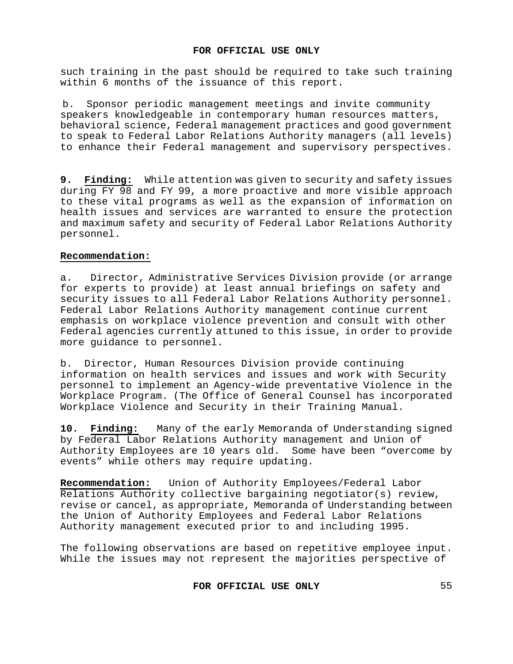such training in the past should be required to take such training within 6 months of the issuance of this report.

b. Sponsor periodic management meetings and invite community speakers knowledgeable in contemporary human resources matters, behavioral science, Federal management practices and good government to speak to Federal Labor Relations Authority managers (all levels) to enhance their Federal management and supervisory perspectives.

**9. Finding:** While attention was given to security and safety issues during FY 98 and FY 99, a more proactive and more visible approach to these vital programs as well as the expansion of information on health issues and services are warranted to ensure the protection and maximum safety and security of Federal Labor Relations Authority personnel.

## **Recommendation:**

a. Director, Administrative Services Division provide (or arrange for experts to provide) at least annual briefings on safety and security issues to all Federal Labor Relations Authority personnel. Federal Labor Relations Authority management continue current emphasis on workplace violence prevention and consult with other Federal agencies currently attuned to this issue, in order to provide more guidance to personnel.

b. Director, Human Resources Division provide continuing information on health services and issues and work with Security personnel to implement an Agency-wide preventative Violence in the Workplace Program. (The Office of General Counsel has incorporated Workplace Violence and Security in their Training Manual.

**10. Finding:** Many of the early Memoranda of Understanding signed by Federal Labor Relations Authority management and Union of Authority Employees are 10 years old. Some have been "overcome by events" while others may require updating.

**Recommendation:** Union of Authority Employees/Federal Labor Relations Authority collective bargaining negotiator(s) review, revise or cancel, as appropriate, Memoranda of Understanding between the Union of Authority Employees and Federal Labor Relations Authority management executed prior to and including 1995.

The following observations are based on repetitive employee input. While the issues may not represent the majorities perspective of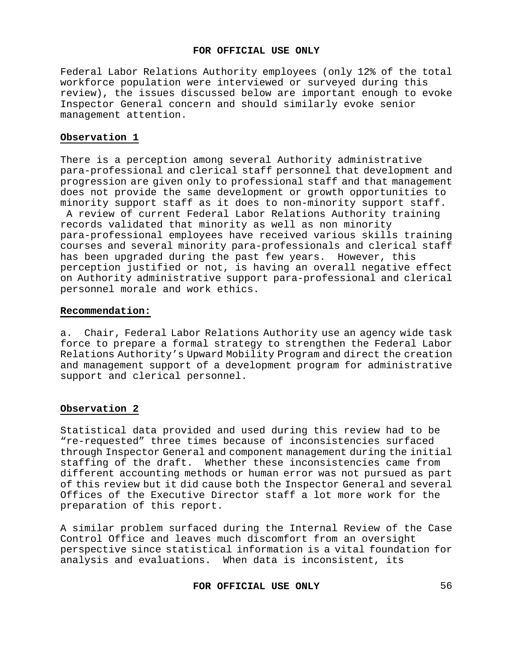Federal Labor Relations Authority employees (only 12% of the total workforce population were interviewed or surveyed during this review), the issues discussed below are important enough to evoke Inspector General concern and should similarly evoke senior management attention.

# **Observation 1**

There is a perception among several Authority administrative para-professional and clerical staff personnel that development and progression are given only to professional staff and that management does not provide the same development or growth opportunities to minority support staff as it does to non-minority support staff.

A review of current Federal Labor Relations Authority training records validated that minority as well as non minority para-professional employees have received various skills training courses and several minority para-professionals and clerical staff has been upgraded during the past few years. However, this perception justified or not, is having an overall negative effect on Authority administrative support para-professional and clerical personnel morale and work ethics.

## **Recommendation:**

a. Chair, Federal Labor Relations Authority use an agency wide task force to prepare a formal strategy to strengthen the Federal Labor Relations Authority's Upward Mobility Program and direct the creation and management support of a development program for administrative support and clerical personnel.

## **Observation 2**

Statistical data provided and used during this review had to be "re-requested" three times because of inconsistencies surfaced through Inspector General and component management during the initial staffing of the draft. Whether these inconsistencies came from different accounting methods or human error was not pursued as part of this review but it did cause both the Inspector General and several Offices of the Executive Director staff a lot more work for the preparation of this report.

A similar problem surfaced during the Internal Review of the Case Control Office and leaves much discomfort from an oversight perspective since statistical information is a vital foundation for analysis and evaluations. When data is inconsistent, its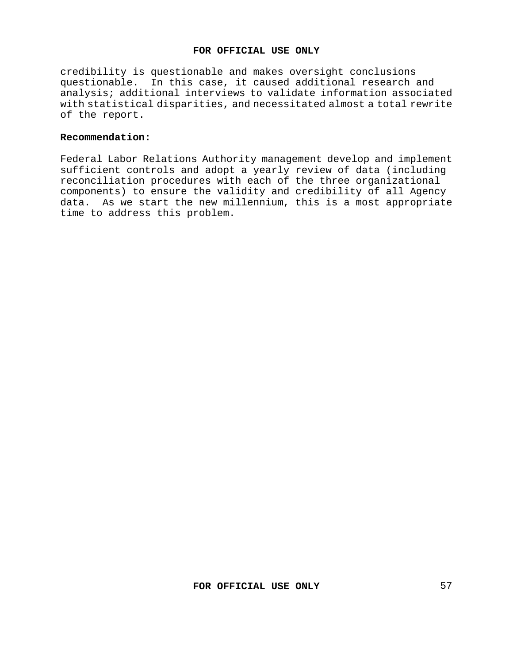credibility is questionable and makes oversight conclusions questionable. In this case, it caused additional research and analysis; additional interviews to validate information associated with statistical disparities, and necessitated almost a total rewrite of the report.

### **Recommendation:**

Federal Labor Relations Authority management develop and implement sufficient controls and adopt a yearly review of data (including reconciliation procedures with each of the three organizational components) to ensure the validity and credibility of all Agency data. As we start the new millennium, this is a most appropriate time to address this problem.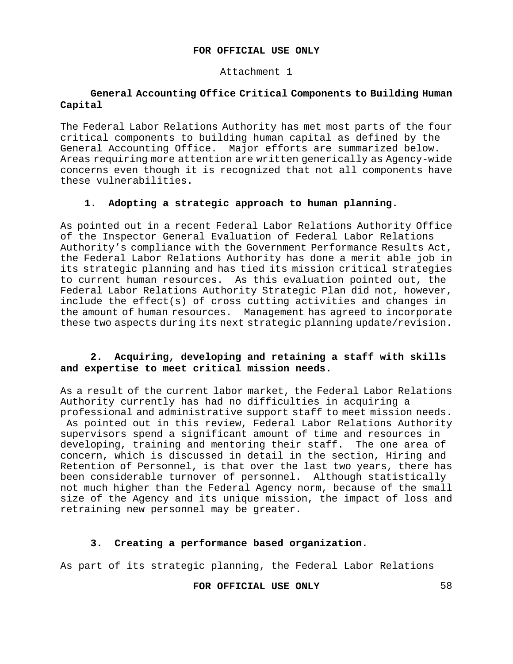Attachment 1

# **General Accounting Office Critical Components to Building Human Capital**

The Federal Labor Relations Authority has met most parts of the four critical components to building human capital as defined by the General Accounting Office. Major efforts are summarized below. Areas requiring more attention are written generically as Agency-wide concerns even though it is recognized that not all components have these vulnerabilities.

# **1. Adopting a strategic approach to human planning.**

As pointed out in a recent Federal Labor Relations Authority Office of the Inspector General Evaluation of Federal Labor Relations Authority's compliance with the Government Performance Results Act, the Federal Labor Relations Authority has done a merit able job in its strategic planning and has tied its mission critical strategies to current human resources. As this evaluation pointed out, the Federal Labor Relations Authority Strategic Plan did not, however, include the effect(s) of cross cutting activities and changes in the amount of human resources. Management has agreed to incorporate these two aspects during its next strategic planning update/revision.

# **2. Acquiring, developing and retaining a staff with skills and expertise to meet critical mission needs.**

As a result of the current labor market, the Federal Labor Relations Authority currently has had no difficulties in acquiring a professional and administrative support staff to meet mission needs.

As pointed out in this review, Federal Labor Relations Authority supervisors spend a significant amount of time and resources in developing, training and mentoring their staff. The one area of concern, which is discussed in detail in the section, Hiring and Retention of Personnel, is that over the last two years, there has been considerable turnover of personnel. Although statistically not much higher than the Federal Agency norm, because of the small size of the Agency and its unique mission, the impact of loss and retraining new personnel may be greater.

# **3. Creating a performance based organization.**

As part of its strategic planning, the Federal Labor Relations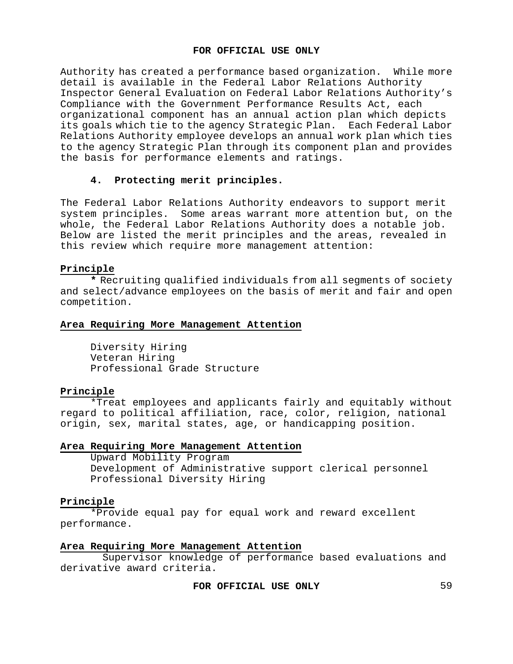Authority has created a performance based organization. While more detail is available in the Federal Labor Relations Authority Inspector General Evaluation on Federal Labor Relations Authority's Compliance with the Government Performance Results Act, each organizational component has an annual action plan which depicts its goals which tie to the agency Strategic Plan. Each Federal Labor Relations Authority employee develops an annual work plan which ties to the agency Strategic Plan through its component plan and provides the basis for performance elements and ratings.

# **4. Protecting merit principles.**

The Federal Labor Relations Authority endeavors to support merit system principles. Some areas warrant more attention but, on the whole, the Federal Labor Relations Authority does a notable job. Below are listed the merit principles and the areas, revealed in this review which require more management attention:

## **Principle**

**\*** Recruiting qualified individuals from all segments of society and select/advance employees on the basis of merit and fair and open competition.

## **Area Requiring More Management Attention**

Diversity Hiring Veteran Hiring Professional Grade Structure

## **Principle**

\*Treat employees and applicants fairly and equitably without regard to political affiliation, race, color, religion, national origin, sex, marital states, age, or handicapping position.

## **Area Requiring More Management Attention**

Upward Mobility Program Development of Administrative support clerical personnel Professional Diversity Hiring

## **Principle**

\*Provide equal pay for equal work and reward excellent performance.

## **Area Requiring More Management Attention**

Supervisor knowledge of performance based evaluations and derivative award criteria.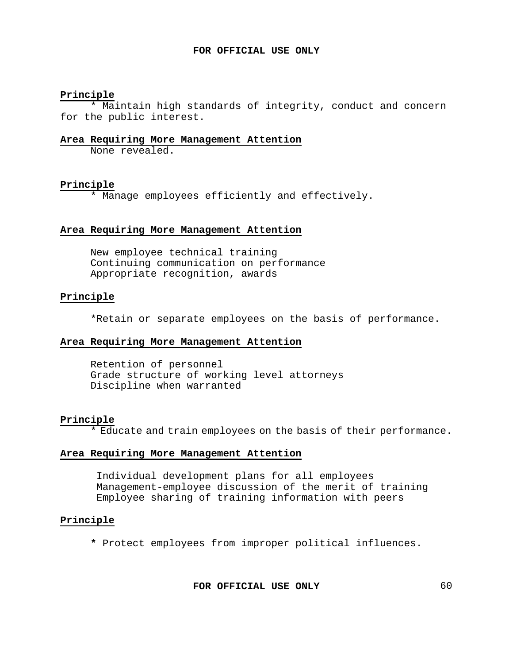# **Principle**

\* Maintain high standards of integrity, conduct and concern for the public interest.

## **Area Requiring More Management Attention**

None revealed.

#### **Principle**

\* Manage employees efficiently and effectively.

### **Area Requiring More Management Attention**

New employee technical training Continuing communication on performance Appropriate recognition, awards

## **Principle**

\*Retain or separate employees on the basis of performance.

# **Area Requiring More Management Attention**

Retention of personnel Grade structure of working level attorneys Discipline when warranted

#### **Principle**

\* Educate and train employees on the basis of their performance.

#### **Area Requiring More Management Attention**

Individual development plans for all employees Management-employee discussion of the merit of training Employee sharing of training information with peers

#### **Principle**

**\*** Protect employees from improper political influences.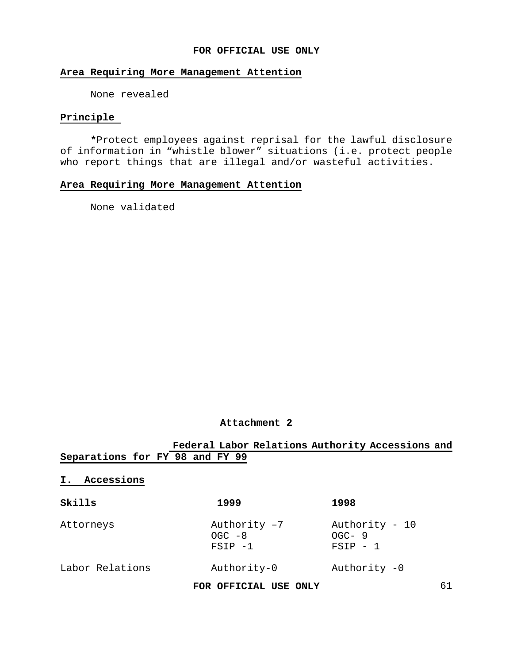## **Area Requiring More Management Attention**

None revealed

## **Principle**

**\***Protect employees against reprisal for the lawful disclosure of information in "whistle blower" situations (i.e. protect people who report things that are illegal and/or wasteful activities.

# **Area Requiring More Management Attention**

None validated

## **Attachment 2**

|                                 | Federal Labor Relations Authority Accessions and |                                         |
|---------------------------------|--------------------------------------------------|-----------------------------------------|
| Separations for FY 98 and FY 99 |                                                  |                                         |
| Accessions<br>Ι.                |                                                  |                                         |
| Skills                          | 1999                                             | 1998                                    |
| Attorneys                       | Authority -7<br>$OGC - 8$<br>$FSIP - 1$          | Authority - 10<br>$OGC-9$<br>$FSIP - 1$ |
| Labor Relations                 | Authority-0                                      | Authority -0                            |
|                                 | FOR OFFICIAL USE ONLY                            | 61                                      |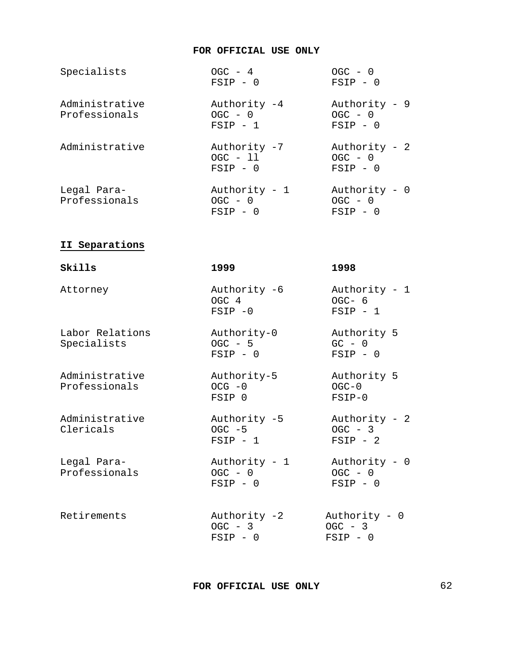| Specialists                     | $OGC - 4$<br>$FSIP - 0$                  | $OGC - 0$<br>$FSIP - 0$                  |
|---------------------------------|------------------------------------------|------------------------------------------|
| Administrative<br>Professionals | Authority -4<br>$OGC - 0$<br>$FSIP - 1$  | Authority - 9<br>$OGC - 0$<br>$FSIP - 0$ |
| Administrative                  | Authority -7<br>$OGC - 11$<br>$FSTP - 0$ | Authority - 2<br>$OGC - 0$<br>$FSIP - 0$ |
| Legal Para-<br>Professionals    | Authority - 1<br>$OGC - 0$<br>$FSIP - 0$ | Authority - 0<br>$OGC - 0$<br>$FSIP - 0$ |

# **II Separations**

| Skills                          | 1999                                     | 1998                                      |
|---------------------------------|------------------------------------------|-------------------------------------------|
| Attorney                        | Authority -6<br>OGC 4<br>$FSTP - 0$      | Authority - $1$<br>$OGC-6$<br>$FSIP - 1$  |
| Labor Relations<br>Specialists  | Authority-0<br>$OGC - 5$<br>$FSIP - 0$   | Authority 5<br>$GC - 0$<br>$FSIP - 0$     |
| Administrative<br>Professionals | Authority-5<br>$OCG - 0$<br>FSIP 0       | Authority 5<br>$OGC-0$<br>$FSIP-0$        |
| Administrative<br>Clericals     | Authority -5<br>$OGC - 5$<br>$FSIP - 1$  | Authority - 2<br>$OGC - 3$<br>$FSLP - 2$  |
| Legal Para-<br>Professionals    | Authority - 1<br>$OGC - 0$<br>$FSIP - 0$ | Authority - 0<br>$OGC - 0$<br>$FSIP - 0$  |
| Retirements                     | Authority -2<br>$OGC - 3$<br>$FSIP - 0$  | Authority $-0$<br>$OGC - 3$<br>$FSIP - 0$ |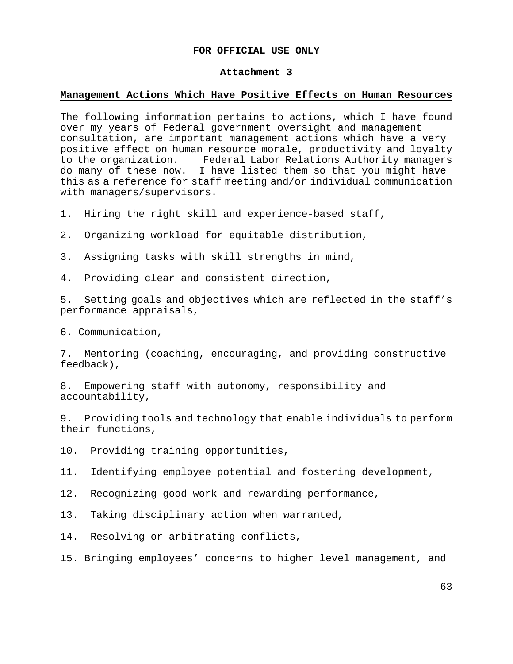#### **Attachment 3**

#### **Management Actions Which Have Positive Effects on Human Resources**

The following information pertains to actions, which I have found over my years of Federal government oversight and management consultation, are important management actions which have a very positive effect on human resource morale, productivity and loyalty<br>to the organization. Federal Labor Relations Authority managers Federal Labor Relations Authority managers do many of these now. I have listed them so that you might have this as a reference for staff meeting and/or individual communication with managers/supervisors.

1. Hiring the right skill and experience-based staff,

2. Organizing workload for equitable distribution,

3. Assigning tasks with skill strengths in mind,

4. Providing clear and consistent direction,

5. Setting goals and objectives which are reflected in the staff's performance appraisals,

6. Communication,

7. Mentoring (coaching, encouraging, and providing constructive feedback),

8. Empowering staff with autonomy, responsibility and accountability,

9. Providing tools and technology that enable individuals to perform their functions,

10. Providing training opportunities,

11. Identifying employee potential and fostering development,

12. Recognizing good work and rewarding performance,

13. Taking disciplinary action when warranted,

14. Resolving or arbitrating conflicts,

15. Bringing employees' concerns to higher level management, and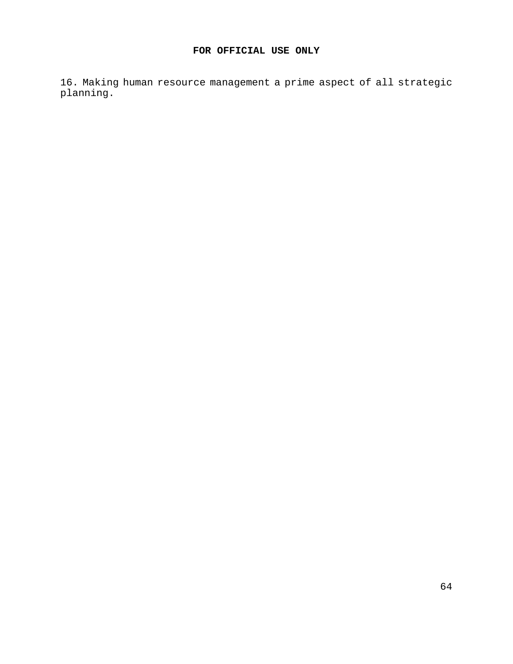16. Making human resource management a prime aspect of all strategic planning.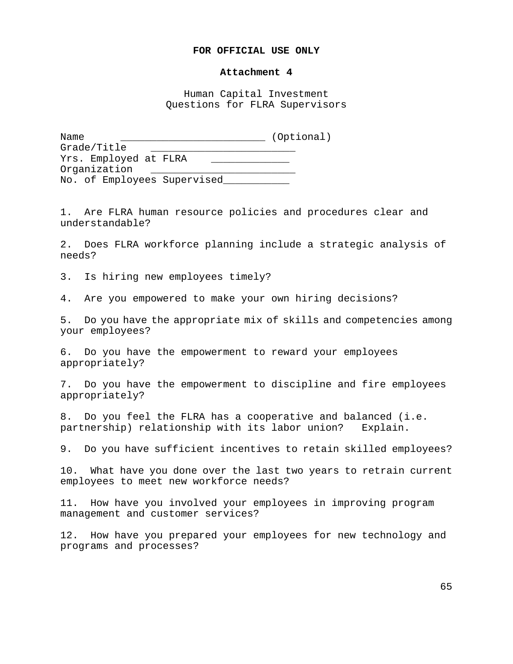#### **Attachment 4**

Human Capital Investment Questions for FLRA Supervisors

Name \_\_\_\_\_\_\_\_\_\_\_\_\_\_\_\_\_\_\_\_\_\_\_\_ (Optional) Grade/Title \_\_\_\_\_\_\_\_\_\_\_\_\_\_\_\_\_\_\_\_\_\_\_\_ Yrs. Employed at FLRA \_\_\_\_\_\_\_\_\_\_\_\_\_ Organization No. of Employees Supervised

1. Are FLRA human resource policies and procedures clear and understandable?

2. Does FLRA workforce planning include a strategic analysis of needs?

3. Is hiring new employees timely?

4. Are you empowered to make your own hiring decisions?

5. Do you have the appropriate mix of skills and competencies among your employees?

6. Do you have the empowerment to reward your employees appropriately?

7. Do you have the empowerment to discipline and fire employees appropriately?

8. Do you feel the FLRA has a cooperative and balanced (i.e. partnership) relationship with its labor union? Explain.

9. Do you have sufficient incentives to retain skilled employees?

10. What have you done over the last two years to retrain current employees to meet new workforce needs?

11. How have you involved your employees in improving program management and customer services?

12. How have you prepared your employees for new technology and programs and processes?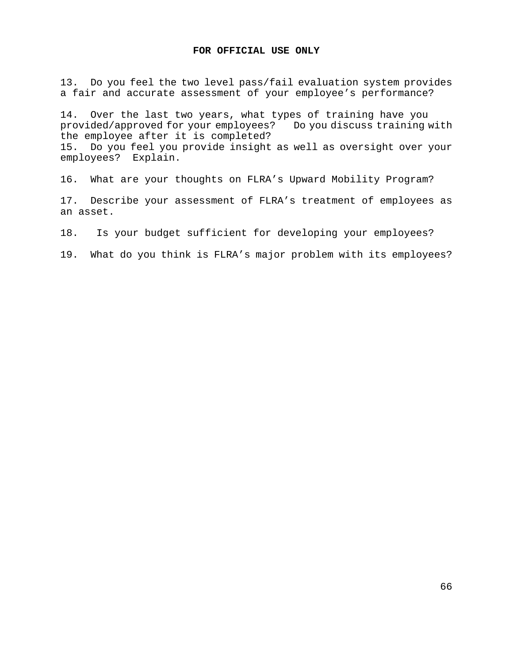13. Do you feel the two level pass/fail evaluation system provides a fair and accurate assessment of your employee's performance?

14. Over the last two years, what types of training have you<br>provided/approved for your employees? Do you discuss training with provided/approved for your employees? the employee after it is completed? 15. Do you feel you provide insight as well as oversight over your employees? Explain.

16. What are your thoughts on FLRA's Upward Mobility Program?

17. Describe your assessment of FLRA's treatment of employees as an asset.

18. Is your budget sufficient for developing your employees?

19. What do you think is FLRA's major problem with its employees?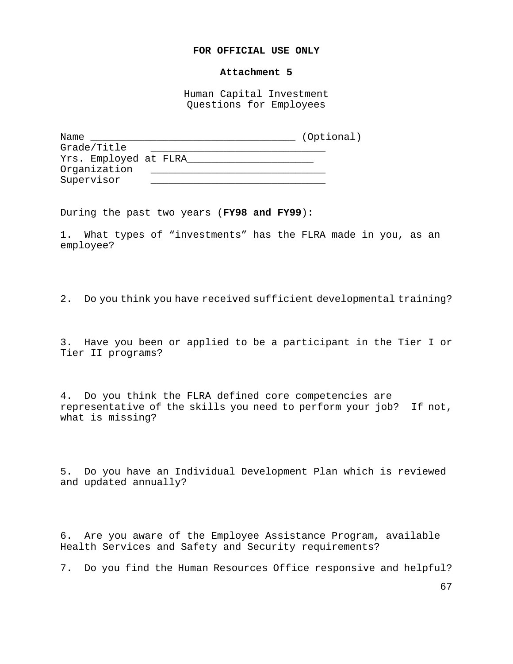#### **Attachment 5**

Human Capital Investment Questions for Employees

| Name                  | (Optional) |
|-----------------------|------------|
| Grade/Title           |            |
| Yrs. Employed at FLRA |            |
| Organization          |            |
| Supervisor            |            |

During the past two years (**FY98 and FY99**):

1. What types of "investments" has the FLRA made in you, as an employee?

2. Do you think you have received sufficient developmental training?

3. Have you been or applied to be a participant in the Tier I or Tier II programs?

4. Do you think the FLRA defined core competencies are representative of the skills you need to perform your job? If not, what is missing?

5. Do you have an Individual Development Plan which is reviewed and updated annually?

6. Are you aware of the Employee Assistance Program, available Health Services and Safety and Security requirements?

7. Do you find the Human Resources Office responsive and helpful?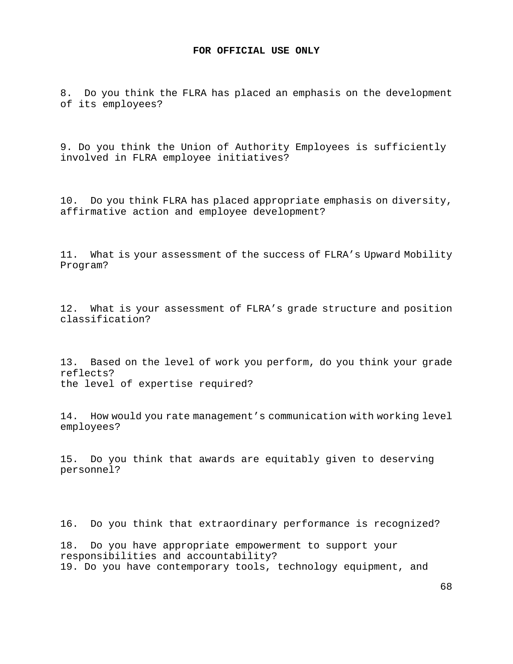8. Do you think the FLRA has placed an emphasis on the development of its employees?

9. Do you think the Union of Authority Employees is sufficiently involved in FLRA employee initiatives?

10. Do you think FLRA has placed appropriate emphasis on diversity, affirmative action and employee development?

11. What is your assessment of the success of FLRA's Upward Mobility Program?

12. What is your assessment of FLRA's grade structure and position classification?

13. Based on the level of work you perform, do you think your grade reflects? the level of expertise required?

14. How would you rate management's communication with working level employees?

15. Do you think that awards are equitably given to deserving personnel?

16. Do you think that extraordinary performance is recognized?

18. Do you have appropriate empowerment to support your responsibilities and accountability? 19. Do you have contemporary tools, technology equipment, and

68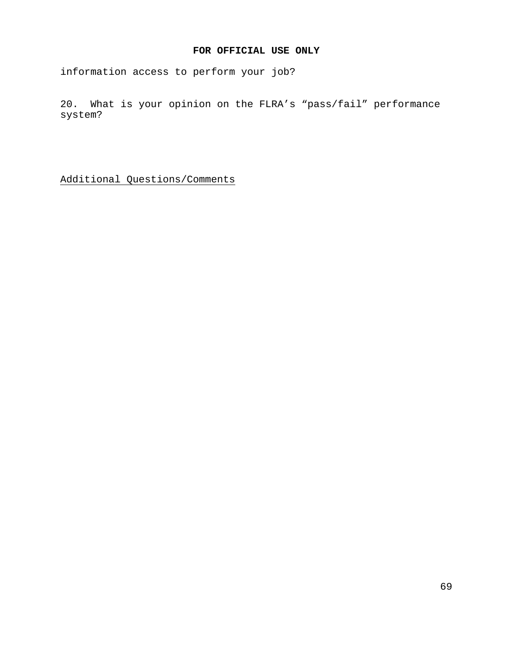information access to perform your job?

20. What is your opinion on the FLRA's "pass/fail" performance system?

Additional Questions/Comments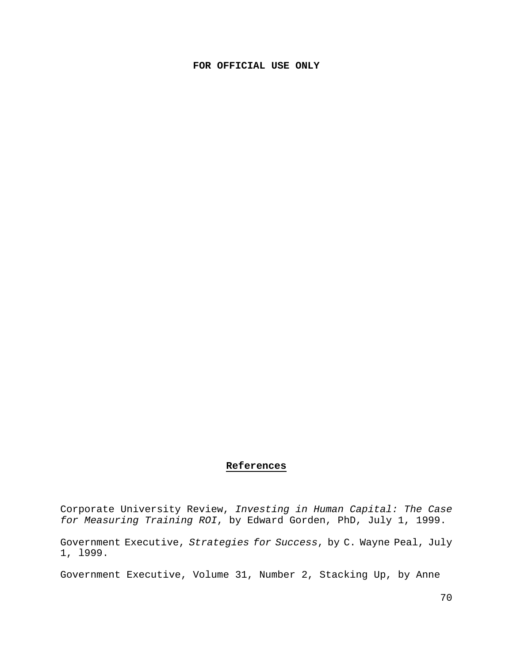## **References**

Corporate University Review, *Investing in Human Capital: The Case for Measuring Training ROI*, by Edward Gorden, PhD, July 1, 1999.

Government Executive, *Strategies for Success*, by C. Wayne Peal, July 1, l999.

Government Executive, Volume 31, Number 2, Stacking Up, by Anne